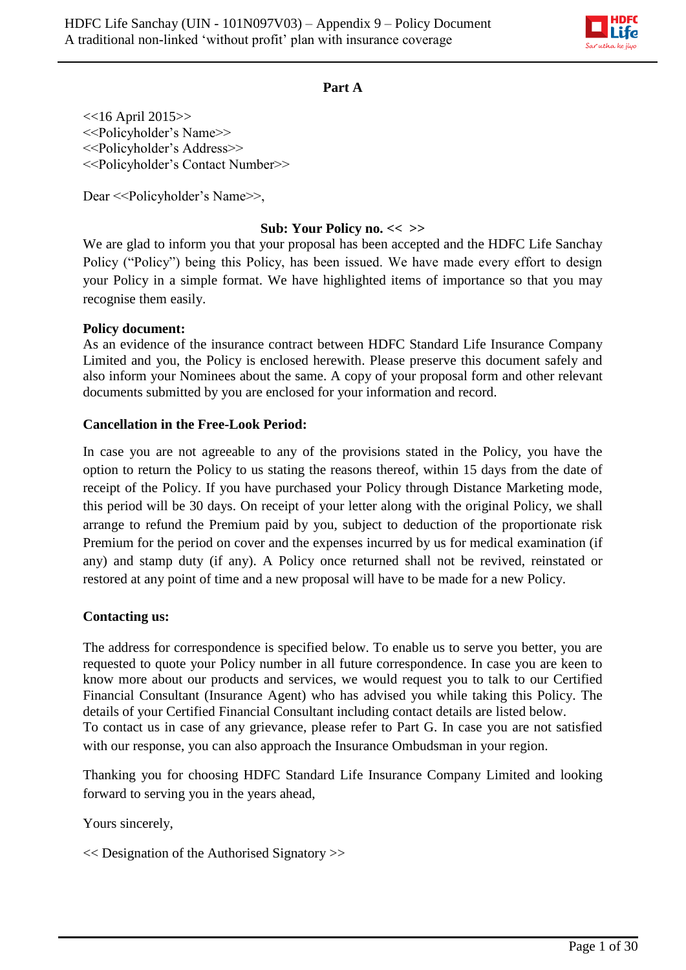

#### **Part A**

 $<<$ 16 April 2015>> <<Policyholder's Name>> <<Policyholder's Address>> <<Policyholder's Contact Number>>

Dear << Policyholder's Name >>,

### **Sub: Your Policy no. << >>**

We are glad to inform you that your proposal has been accepted and the HDFC Life Sanchay Policy ("Policy") being this Policy, has been issued. We have made every effort to design your Policy in a simple format. We have highlighted items of importance so that you may recognise them easily.

#### **Policy document:**

As an evidence of the insurance contract between HDFC Standard Life Insurance Company Limited and you, the Policy is enclosed herewith. Please preserve this document safely and also inform your Nominees about the same. A copy of your proposal form and other relevant documents submitted by you are enclosed for your information and record.

#### **Cancellation in the Free-Look Period:**

In case you are not agreeable to any of the provisions stated in the Policy, you have the option to return the Policy to us stating the reasons thereof, within 15 days from the date of receipt of the Policy. If you have purchased your Policy through Distance Marketing mode, this period will be 30 days. On receipt of your letter along with the original Policy, we shall arrange to refund the Premium paid by you, subject to deduction of the proportionate risk Premium for the period on cover and the expenses incurred by us for medical examination (if any) and stamp duty (if any). A Policy once returned shall not be revived, reinstated or restored at any point of time and a new proposal will have to be made for a new Policy.

## **Contacting us:**

The address for correspondence is specified below. To enable us to serve you better, you are requested to quote your Policy number in all future correspondence. In case you are keen to know more about our products and services, we would request you to talk to our Certified Financial Consultant (Insurance Agent) who has advised you while taking this Policy. The details of your Certified Financial Consultant including contact details are listed below. To contact us in case of any grievance, please refer to Part G. In case you are not satisfied with our response, you can also approach the Insurance Ombudsman in your region.

Thanking you for choosing HDFC Standard Life Insurance Company Limited and looking forward to serving you in the years ahead,

Yours sincerely,

<< Designation of the Authorised Signatory >>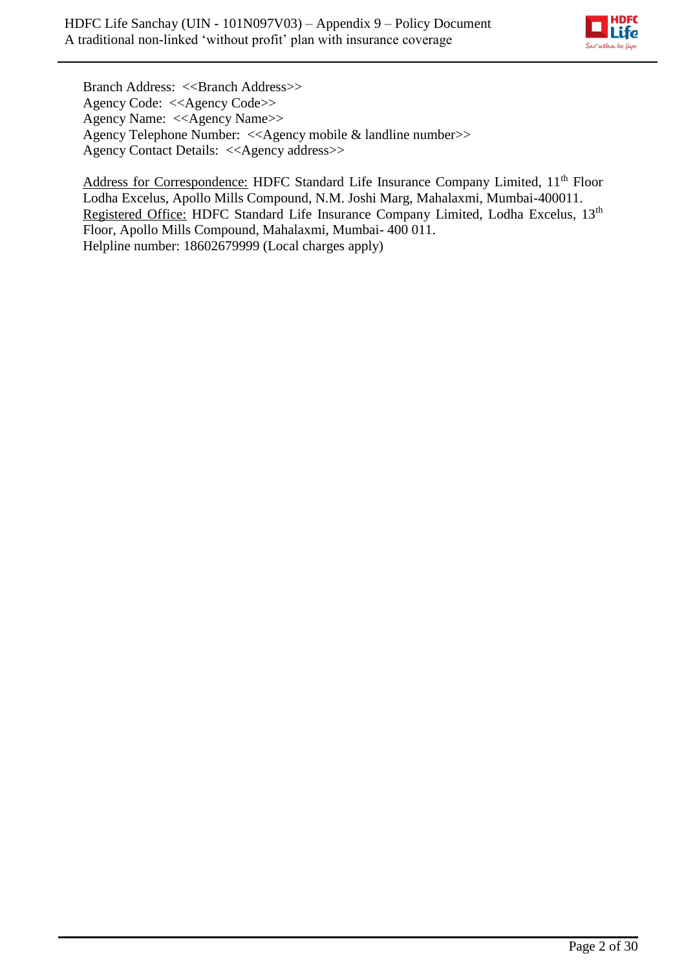

Branch Address: <<Branch Address>> Agency Code: <<Agency Code>> Agency Name: <<Agency Name>> Agency Telephone Number: <<Agency mobile & landline number>> Agency Contact Details: <<Agency address>>

Address for Correspondence: HDFC Standard Life Insurance Company Limited, 11<sup>th</sup> Floor Lodha Excelus, Apollo Mills Compound, N.M. Joshi Marg, Mahalaxmi, Mumbai-400011. Registered Office: HDFC Standard Life Insurance Company Limited, Lodha Excelus, 13<sup>th</sup> Floor, Apollo Mills Compound, Mahalaxmi, Mumbai- 400 011. Helpline number: 18602679999 (Local charges apply)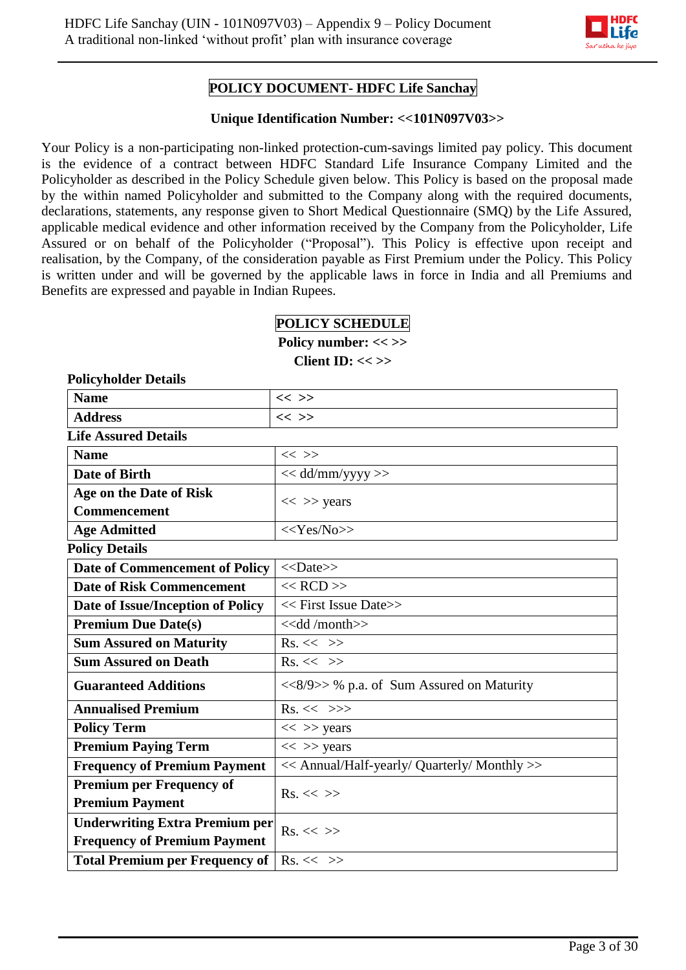

## **POLICY DOCUMENT- HDFC Life Sanchay**

#### **Unique Identification Number: <<101N097V03>>**

Your Policy is a non-participating non-linked protection-cum-savings limited pay policy. This document is the evidence of a contract between HDFC Standard Life Insurance Company Limited and the Policyholder as described in the Policy Schedule given below. This Policy is based on the proposal made by the within named Policyholder and submitted to the Company along with the required documents, declarations, statements, any response given to Short Medical Questionnaire (SMQ) by the Life Assured, applicable medical evidence and other information received by the Company from the Policyholder, Life Assured or on behalf of the Policyholder ("Proposal"). This Policy is effective upon receipt and realisation, by the Company, of the consideration payable as First Premium under the Policy. This Policy is written under and will be governed by the applicable laws in force in India and all Premiums and Benefits are expressed and payable in Indian Rupees.

#### **POLICY SCHEDULE**

**Policy number: << >> Client ID: << >>**

| <b>Policyholder Details</b>           |                                                                |
|---------------------------------------|----------------------------------------------------------------|
| <b>Name</b>                           | $<<$ >>                                                        |
| <b>Address</b>                        | $<<$ >>                                                        |
| <b>Life Assured Details</b>           |                                                                |
| <b>Name</b>                           | $<<$ >>                                                        |
| <b>Date of Birth</b>                  | << dd/mm/yyyy >>                                               |
| Age on the Date of Risk               | $<<$ >> years                                                  |
| <b>Commencement</b>                   |                                                                |
| <b>Age Admitted</b>                   | $<<$ Yes/No>>                                                  |
| <b>Policy Details</b>                 |                                                                |
| <b>Date of Commencement of Policy</b> | $<<$ Date>>                                                    |
| <b>Date of Risk Commencement</b>      | $<<$ RCD $>>$                                                  |
| Date of Issue/Inception of Policy     | << First Issue Date>>                                          |
| <b>Premium Due Date(s)</b>            | $\overline{\left\langle \right\langle \right\rangle}$ /month>> |
| <b>Sum Assured on Maturity</b>        | $Rs. \ll \gg$                                                  |
| <b>Sum Assured on Death</b>           | $Rs. \ll \gg$                                                  |
| <b>Guaranteed Additions</b>           | <<8/9>> % p.a. of Sum Assured on Maturity                      |
| <b>Annualised Premium</b>             | $Rs. \ll \gg>$                                                 |
| <b>Policy Term</b>                    | $<<$ >> years                                                  |
| <b>Premium Paying Term</b>            | $<<$ >> years                                                  |
| <b>Frequency of Premium Payment</b>   | << Annual/Half-yearly/ Quarterly/ Monthly >>                   |
| <b>Premium per Frequency of</b>       | $Rs. \ll \gg$                                                  |
| <b>Premium Payment</b>                |                                                                |
| <b>Underwriting Extra Premium per</b> | $Rs. \ll \gg$                                                  |
| <b>Frequency of Premium Payment</b>   |                                                                |
| <b>Total Premium per Frequency of</b> | $\mathrm{Rs.} \ll \gg$                                         |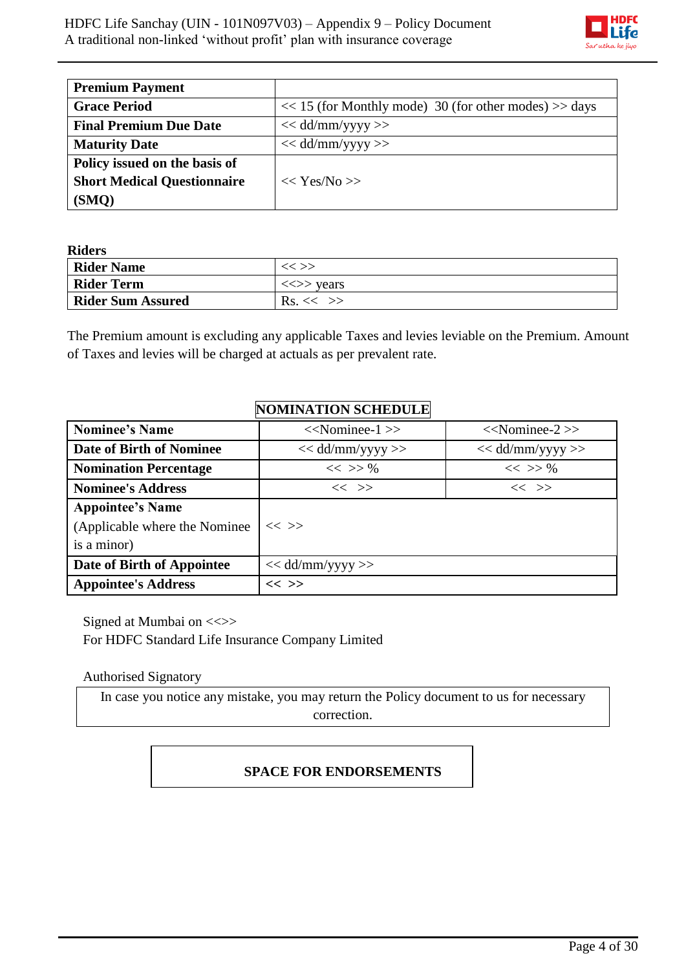

| <b>Premium Payment</b>             |                                                           |
|------------------------------------|-----------------------------------------------------------|
| <b>Grace Period</b>                | $<< 15$ (for Monthly mode) 30 (for other modes) $>>$ days |
| <b>Final Premium Due Date</b>      | $<<$ dd/mm/yyyy >>                                        |
| <b>Maturity Date</b>               | $<<$ dd/mm/yyyy >>                                        |
| Policy issued on the basis of      |                                                           |
| <b>Short Medical Questionnaire</b> | $<<$ Yes/No $>>$                                          |
| (SMO)                              |                                                           |

**Riders** 

| *******                  |                   |  |  |  |  |  |
|--------------------------|-------------------|--|--|--|--|--|
| <b>Rider Name</b>        | $<<$ $>>$         |  |  |  |  |  |
| <b>Rider Term</b>        | $\iff$ vears      |  |  |  |  |  |
| <b>Rider Sum Assured</b> | $\text{Rs.}<<$ >> |  |  |  |  |  |

The Premium amount is excluding any applicable Taxes and levies leviable on the Premium. Amount of Taxes and levies will be charged at actuals as per prevalent rate.

## **NOMINATION SCHEDULE**

| <b>Nominee's Name</b>           | $<<$ Nominee-1 $>>$ | $<<$ Nominee-2 $>>$ |
|---------------------------------|---------------------|---------------------|
| <b>Date of Birth of Nominee</b> | $<<$ dd/mm/yyyy >>  | $<<$ dd/mm/yyyy >>  |
| <b>Nomination Percentage</b>    | $<<$ >> %           | $<<$ >> %           |
| <b>Nominee's Address</b>        | $<<$ $>>$           | $<<$ $>>$           |
| <b>Appointee's Name</b>         |                     |                     |
| (Applicable where the Nominee)  | $<<$ >>             |                     |
| is a minor)                     |                     |                     |
| Date of Birth of Appointee      | $<<$ dd/mm/yyyy >>  |                     |
| <b>Appointee's Address</b>      | $<<$ >>             |                     |

Signed at Mumbai on  $\ll\gg$ For HDFC Standard Life Insurance Company Limited

Authorised Signatory

In case you notice any mistake, you may return the Policy document to us for necessary correction.

# **SPACE FOR ENDORSEMENTS**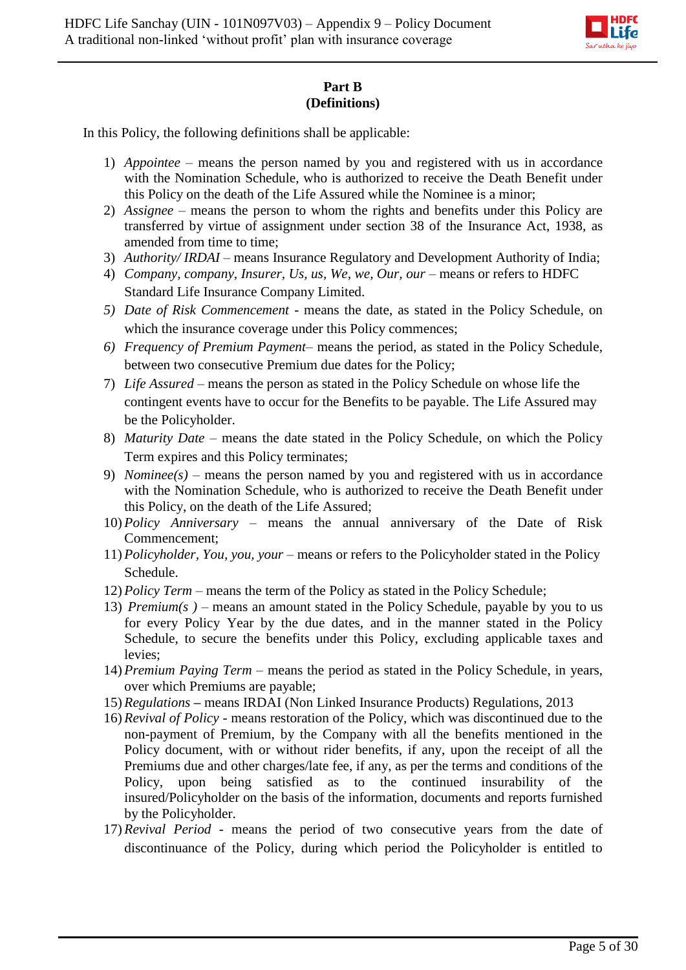

## **Part B (Definitions)**

In this Policy, the following definitions shall be applicable:

- 1) *Appointee –* means the person named by you and registered with us in accordance with the Nomination Schedule, who is authorized to receive the Death Benefit under this Policy on the death of the Life Assured while the Nominee is a minor;
- 2) *Assignee*  means the person to whom the rights and benefits under this Policy are transferred by virtue of assignment under section 38 of the Insurance Act, 1938, as amended from time to time;
- 3) *Authority/ IRDAI* means Insurance Regulatory and Development Authority of India;
- 4) *Company, company, Insurer, Us, us, We, we, Our, our means or refers to HDFC* Standard Life Insurance Company Limited.
- *5) Date of Risk Commencement -* means the date, as stated in the Policy Schedule, on which the insurance coverage under this Policy commences;
- *6) Frequency of Premium Payment* means the period, as stated in the Policy Schedule, between two consecutive Premium due dates for the Policy;
- 7) *Life Assured* means the person as stated in the Policy Schedule on whose life the contingent events have to occur for the Benefits to be payable. The Life Assured may be the Policyholder.
- 8) *Maturity Date* means the date stated in the Policy Schedule, on which the Policy Term expires and this Policy terminates;
- 9) *Nominee(s)*  means the person named by you and registered with us in accordance with the Nomination Schedule, who is authorized to receive the Death Benefit under this Policy, on the death of the Life Assured;
- 10) *Policy Anniversary*  means the annual anniversary of the Date of Risk Commencement;
- 11) *Policyholder, You, you, your* means or refers to the Policyholder stated in the Policy Schedule.
- 12) *Policy Term*  means the term of the Policy as stated in the Policy Schedule;
- 13) *Premium(s )* means an amount stated in the Policy Schedule, payable by you to us for every Policy Year by the due dates, and in the manner stated in the Policy Schedule, to secure the benefits under this Policy, excluding applicable taxes and levies;
- 14) *Premium Paying Term –* means the period as stated in the Policy Schedule, in years, over which Premiums are payable;
- 15) *Regulations* **–** means IRDAI (Non Linked Insurance Products) Regulations, 2013
- 16) *Revival of Policy* means restoration of the Policy, which was discontinued due to the non-payment of Premium, by the Company with all the benefits mentioned in the Policy document, with or without rider benefits, if any, upon the receipt of all the Premiums due and other charges/late fee, if any, as per the terms and conditions of the Policy, upon being satisfied as to the continued insurability of the insured/Policyholder on the basis of the information, documents and reports furnished by the Policyholder.
- 17) *Revival Period*  means the period of two consecutive years from the date of discontinuance of the Policy, during which period the Policyholder is entitled to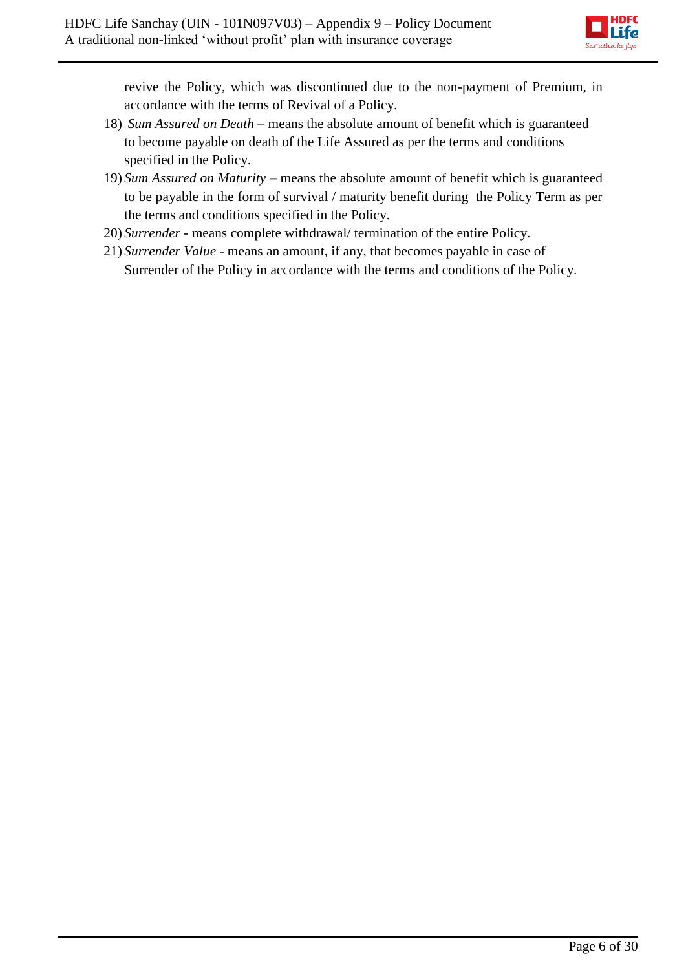

revive the Policy, which was discontinued due to the non-payment of Premium, in accordance with the terms of Revival of a Policy.

- 18) *Sum Assured on Death*  means the absolute amount of benefit which is guaranteed to become payable on death of the Life Assured as per the terms and conditions specified in the Policy.
- 19) *Sum Assured on Maturity* means the absolute amount of benefit which is guaranteed to be payable in the form of survival / maturity benefit during the Policy Term as per the terms and conditions specified in the Policy.
- 20) *Surrender* means complete withdrawal/ termination of the entire Policy.
- 21) *Surrender Value* means an amount, if any, that becomes payable in case of Surrender of the Policy in accordance with the terms and conditions of the Policy.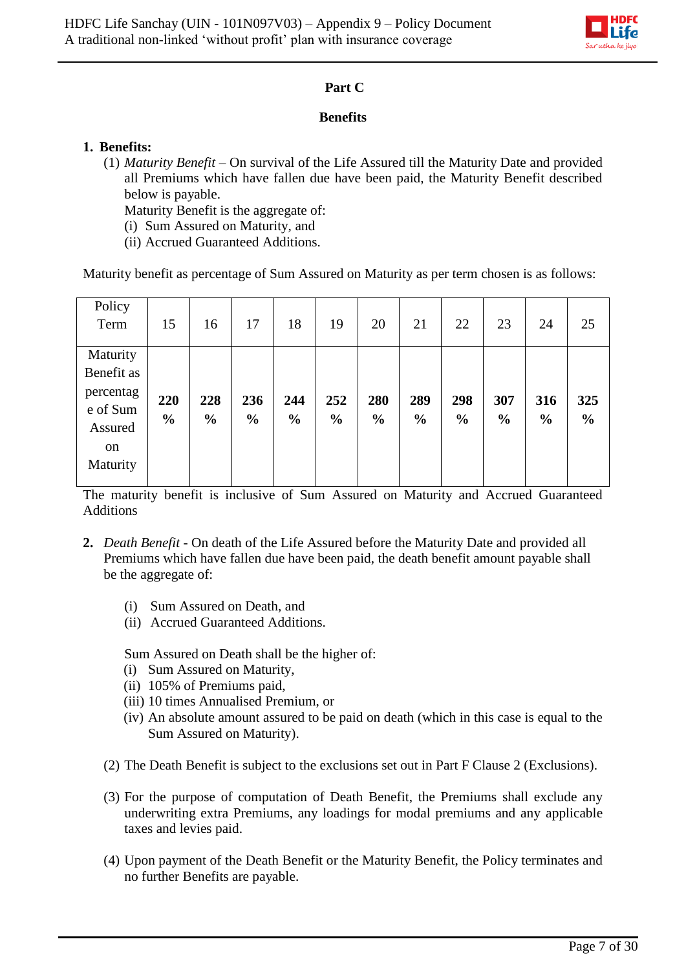

## **Part C**

## **Benefits**

## **1. Benefits:**

(1) *Maturity Benefit* – On survival of the Life Assured till the Maturity Date and provided all Premiums which have fallen due have been paid, the Maturity Benefit described below is payable.

Maturity Benefit is the aggregate of:

- (i) Sum Assured on Maturity, and
- (ii) Accrued Guaranteed Additions.

Maturity benefit as percentage of Sum Assured on Maturity as per term chosen is as follows:

| Policy<br>Term                                                               | 15                   | 16                   | 17                   | 18                   | 19                   | 20                   | 21                   | 22                   | 23                   | 24                   | 25                   |
|------------------------------------------------------------------------------|----------------------|----------------------|----------------------|----------------------|----------------------|----------------------|----------------------|----------------------|----------------------|----------------------|----------------------|
| Maturity<br>Benefit as<br>percentag<br>e of Sum<br>Assured<br>on<br>Maturity | 220<br>$\frac{0}{0}$ | 228<br>$\frac{6}{6}$ | 236<br>$\frac{0}{0}$ | 244<br>$\frac{6}{6}$ | 252<br>$\frac{0}{0}$ | 280<br>$\frac{0}{0}$ | 289<br>$\frac{0}{0}$ | 298<br>$\frac{0}{0}$ | 307<br>$\frac{0}{0}$ | 316<br>$\frac{6}{6}$ | 325<br>$\frac{0}{0}$ |

The maturity benefit is inclusive of Sum Assured on Maturity and Accrued Guaranteed Additions

- **2.** *Death Benefit* On death of the Life Assured before the Maturity Date and provided all Premiums which have fallen due have been paid, the death benefit amount payable shall be the aggregate of:
	- (i) Sum Assured on Death, and
	- (ii) Accrued Guaranteed Additions.

Sum Assured on Death shall be the higher of:

- (i) Sum Assured on Maturity,
- (ii) 105% of Premiums paid,
- (iii) 10 times Annualised Premium, or
- (iv) An absolute amount assured to be paid on death (which in this case is equal to the Sum Assured on Maturity).
- (2) The Death Benefit is subject to the exclusions set out in Part F Clause 2 (Exclusions).
- (3) For the purpose of computation of Death Benefit, the Premiums shall exclude any underwriting extra Premiums, any loadings for modal premiums and any applicable taxes and levies paid.
- (4) Upon payment of the Death Benefit or the Maturity Benefit, the Policy terminates and no further Benefits are payable.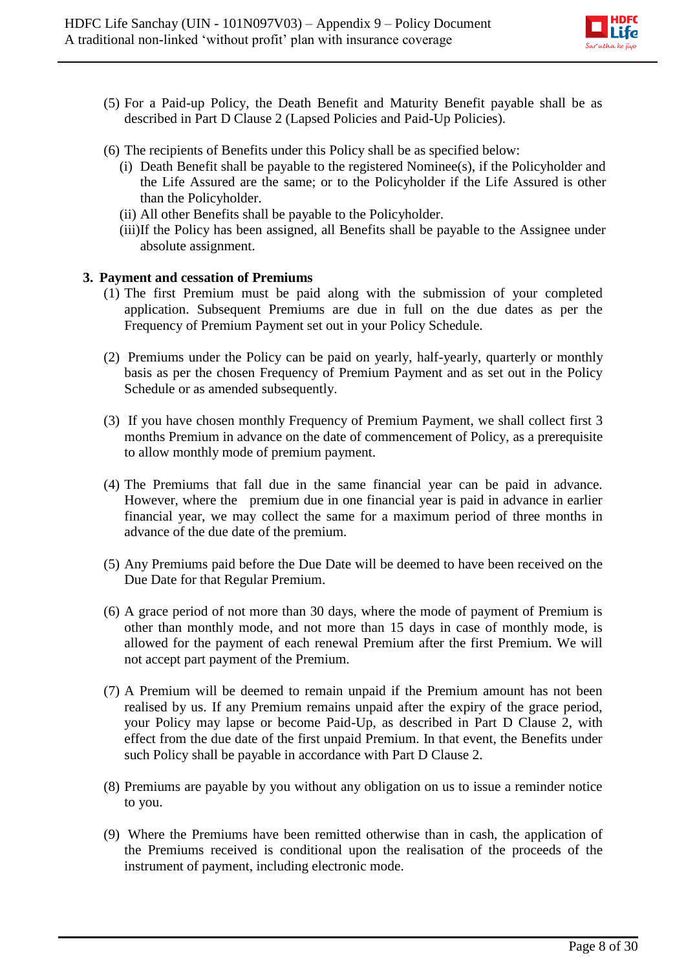

- (5) For a Paid-up Policy, the Death Benefit and Maturity Benefit payable shall be as described in Part D Clause 2 (Lapsed Policies and Paid-Up Policies).
- (6) The recipients of Benefits under this Policy shall be as specified below:
	- (i) Death Benefit shall be payable to the registered Nominee(s), if the Policyholder and the Life Assured are the same; or to the Policyholder if the Life Assured is other than the Policyholder.
	- (ii) All other Benefits shall be payable to the Policyholder.
	- (iii)If the Policy has been assigned, all Benefits shall be payable to the Assignee under absolute assignment.

#### **3. Payment and cessation of Premiums**

- (1) The first Premium must be paid along with the submission of your completed application. Subsequent Premiums are due in full on the due dates as per the Frequency of Premium Payment set out in your Policy Schedule.
- (2) Premiums under the Policy can be paid on yearly, half-yearly, quarterly or monthly basis as per the chosen Frequency of Premium Payment and as set out in the Policy Schedule or as amended subsequently.
- (3) If you have chosen monthly Frequency of Premium Payment, we shall collect first 3 months Premium in advance on the date of commencement of Policy, as a prerequisite to allow monthly mode of premium payment.
- (4) The Premiums that fall due in the same financial year can be paid in advance. However, where the premium due in one financial year is paid in advance in earlier financial year, we may collect the same for a maximum period of three months in advance of the due date of the premium.
- (5) Any Premiums paid before the Due Date will be deemed to have been received on the Due Date for that Regular Premium.
- (6) A grace period of not more than 30 days, where the mode of payment of Premium is other than monthly mode, and not more than 15 days in case of monthly mode, is allowed for the payment of each renewal Premium after the first Premium. We will not accept part payment of the Premium.
- (7) A Premium will be deemed to remain unpaid if the Premium amount has not been realised by us. If any Premium remains unpaid after the expiry of the grace period, your Policy may lapse or become Paid-Up, as described in Part D Clause 2, with effect from the due date of the first unpaid Premium. In that event, the Benefits under such Policy shall be payable in accordance with Part D Clause 2.
- (8) Premiums are payable by you without any obligation on us to issue a reminder notice to you.
- (9) Where the Premiums have been remitted otherwise than in cash, the application of the Premiums received is conditional upon the realisation of the proceeds of the instrument of payment, including electronic mode.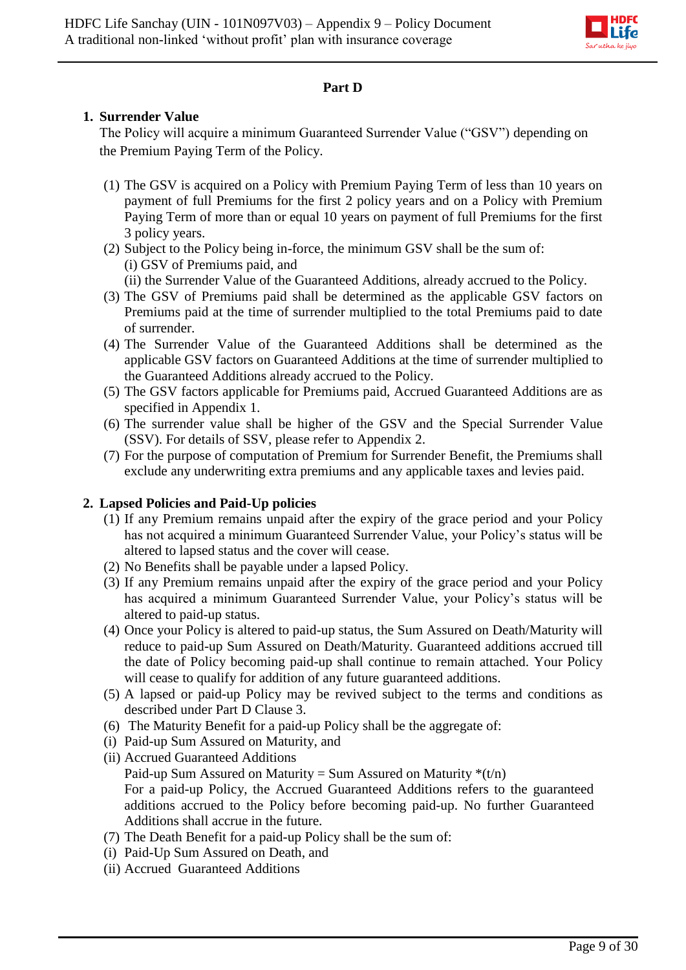

## **Part D**

## **1. Surrender Value**

The Policy will acquire a minimum Guaranteed Surrender Value ("GSV") depending on the Premium Paying Term of the Policy.

- (1) The GSV is acquired on a Policy with Premium Paying Term of less than 10 years on payment of full Premiums for the first 2 policy years and on a Policy with Premium Paying Term of more than or equal 10 years on payment of full Premiums for the first 3 policy years.
- (2) Subject to the Policy being in-force, the minimum GSV shall be the sum of: (i) GSV of Premiums paid, and
	- (ii) the Surrender Value of the Guaranteed Additions, already accrued to the Policy.
- (3) The GSV of Premiums paid shall be determined as the applicable GSV factors on Premiums paid at the time of surrender multiplied to the total Premiums paid to date of surrender.
- (4) The Surrender Value of the Guaranteed Additions shall be determined as the applicable GSV factors on Guaranteed Additions at the time of surrender multiplied to the Guaranteed Additions already accrued to the Policy.
- (5) The GSV factors applicable for Premiums paid, Accrued Guaranteed Additions are as specified in Appendix 1.
- (6) The surrender value shall be higher of the GSV and the Special Surrender Value (SSV). For details of SSV, please refer to Appendix 2.
- (7) For the purpose of computation of Premium for Surrender Benefit, the Premiums shall exclude any underwriting extra premiums and any applicable taxes and levies paid.

## **2. Lapsed Policies and Paid-Up policies**

- (1) If any Premium remains unpaid after the expiry of the grace period and your Policy has not acquired a minimum Guaranteed Surrender Value, your Policy's status will be altered to lapsed status and the cover will cease.
- (2) No Benefits shall be payable under a lapsed Policy.
- (3) If any Premium remains unpaid after the expiry of the grace period and your Policy has acquired a minimum Guaranteed Surrender Value, your Policy's status will be altered to paid-up status.
- (4) Once your Policy is altered to paid-up status, the Sum Assured on Death/Maturity will reduce to paid-up Sum Assured on Death/Maturity. Guaranteed additions accrued till the date of Policy becoming paid-up shall continue to remain attached. Your Policy will cease to qualify for addition of any future guaranteed additions.
- (5) A lapsed or paid-up Policy may be revived subject to the terms and conditions as described under Part D Clause 3.
- (6) The Maturity Benefit for a paid-up Policy shall be the aggregate of:
- (i) Paid-up Sum Assured on Maturity, and
- (ii) Accrued Guaranteed Additions Paid-up Sum Assured on Maturity = Sum Assured on Maturity  $*(t/n)$ For a paid-up Policy, the Accrued Guaranteed Additions refers to the guaranteed additions accrued to the Policy before becoming paid-up. No further Guaranteed Additions shall accrue in the future.
- (7) The Death Benefit for a paid-up Policy shall be the sum of:
- (i) Paid-Up Sum Assured on Death, and
- (ii) Accrued Guaranteed Additions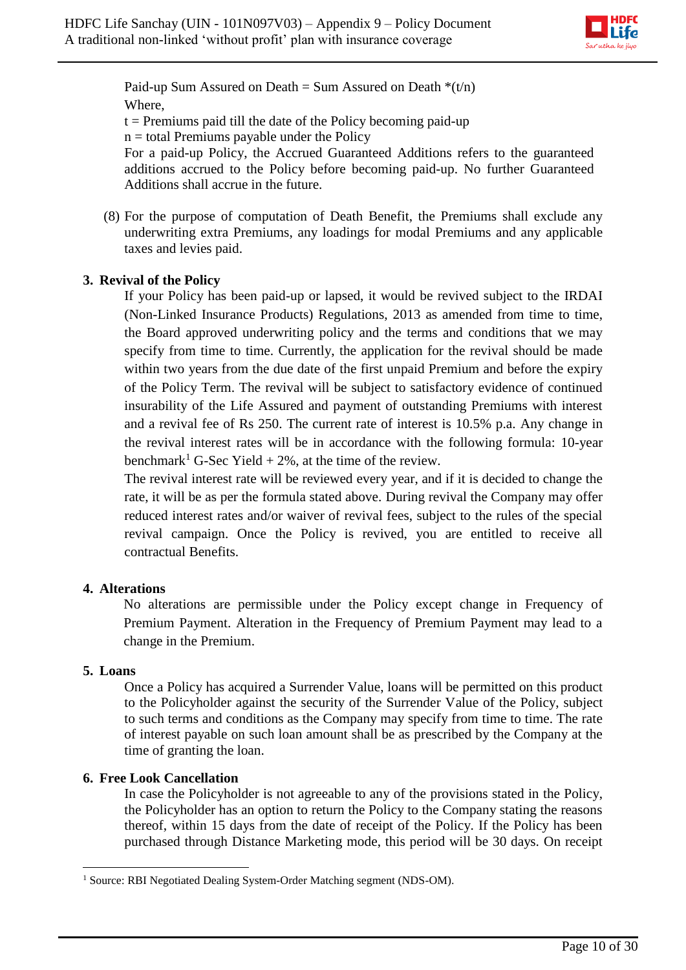

Paid-up Sum Assured on Death = Sum Assured on Death  $*(t/n)$ Where,

 $t =$  Premiums paid till the date of the Policy becoming paid-up

 $n =$  total Premiums payable under the Policy

For a paid-up Policy, the Accrued Guaranteed Additions refers to the guaranteed additions accrued to the Policy before becoming paid-up. No further Guaranteed Additions shall accrue in the future.

(8) For the purpose of computation of Death Benefit, the Premiums shall exclude any underwriting extra Premiums, any loadings for modal Premiums and any applicable taxes and levies paid.

# **3. Revival of the Policy**

If your Policy has been paid-up or lapsed, it would be revived subject to the IRDAI (Non-Linked Insurance Products) Regulations, 2013 as amended from time to time, the Board approved underwriting policy and the terms and conditions that we may specify from time to time. Currently, the application for the revival should be made within two years from the due date of the first unpaid Premium and before the expiry of the Policy Term. The revival will be subject to satisfactory evidence of continued insurability of the Life Assured and payment of outstanding Premiums with interest and a revival fee of Rs 250. The current rate of interest is 10.5% p.a. Any change in the revival interest rates will be in accordance with the following formula: 10-year benchmark<sup>1</sup> G-Sec Yield  $+ 2\%$ , at the time of the review.

The revival interest rate will be reviewed every year, and if it is decided to change the rate, it will be as per the formula stated above. During revival the Company may offer reduced interest rates and/or waiver of revival fees, subject to the rules of the special revival campaign. Once the Policy is revived, you are entitled to receive all contractual Benefits.

## **4. Alterations**

No alterations are permissible under the Policy except change in Frequency of Premium Payment. Alteration in the Frequency of Premium Payment may lead to a change in the Premium.

## **5. Loans**

Once a Policy has acquired a Surrender Value, loans will be permitted on this product to the Policyholder against the security of the Surrender Value of the Policy, subject to such terms and conditions as the Company may specify from time to time. The rate of interest payable on such loan amount shall be as prescribed by the Company at the time of granting the loan.

## **6. Free Look Cancellation**

In case the Policyholder is not agreeable to any of the provisions stated in the Policy, the Policyholder has an option to return the Policy to the Company stating the reasons thereof, within 15 days from the date of receipt of the Policy. If the Policy has been purchased through Distance Marketing mode, this period will be 30 days. On receipt

**<sup>.</sup>** <sup>1</sup> Source: RBI Negotiated Dealing System-Order Matching segment (NDS-OM).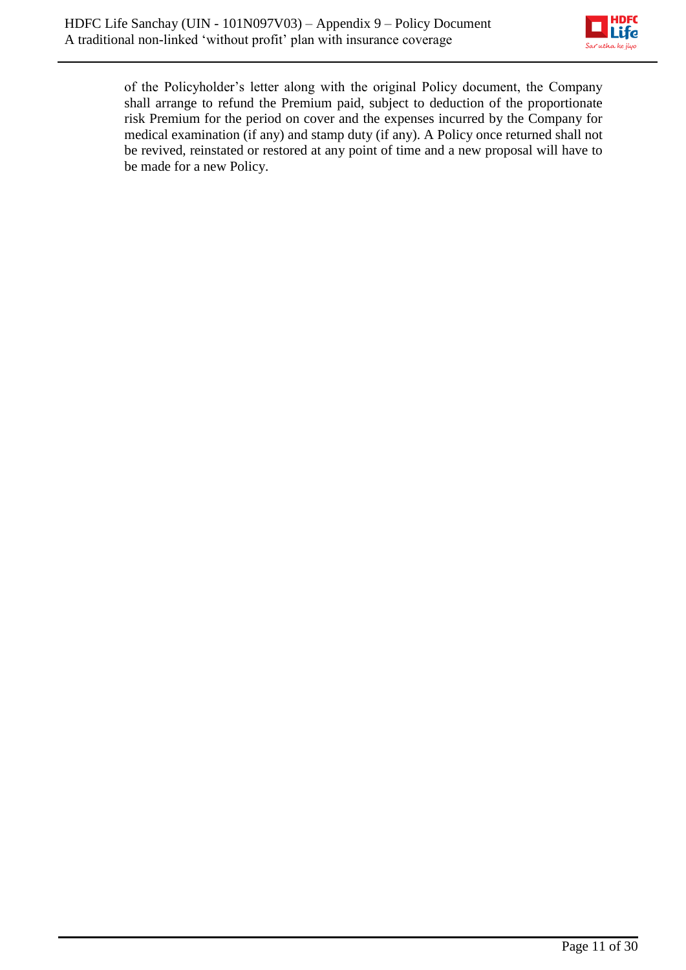

of the Policyholder's letter along with the original Policy document, the Company shall arrange to refund the Premium paid, subject to deduction of the proportionate risk Premium for the period on cover and the expenses incurred by the Company for medical examination (if any) and stamp duty (if any). A Policy once returned shall not be revived, reinstated or restored at any point of time and a new proposal will have to be made for a new Policy.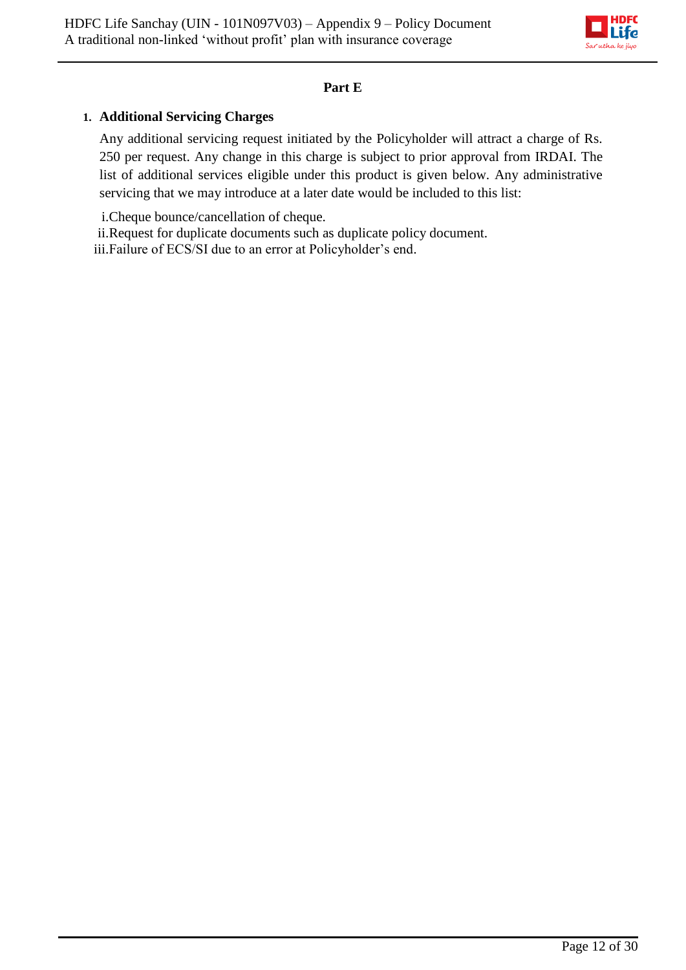

## **Part E**

## **1. Additional Servicing Charges**

Any additional servicing request initiated by the Policyholder will attract a charge of Rs. 250 per request. Any change in this charge is subject to prior approval from IRDAI. The list of additional services eligible under this product is given below. Any administrative servicing that we may introduce at a later date would be included to this list:

i.Cheque bounce/cancellation of cheque.

ii.Request for duplicate documents such as duplicate policy document. iii.Failure of ECS/SI due to an error at Policyholder's end.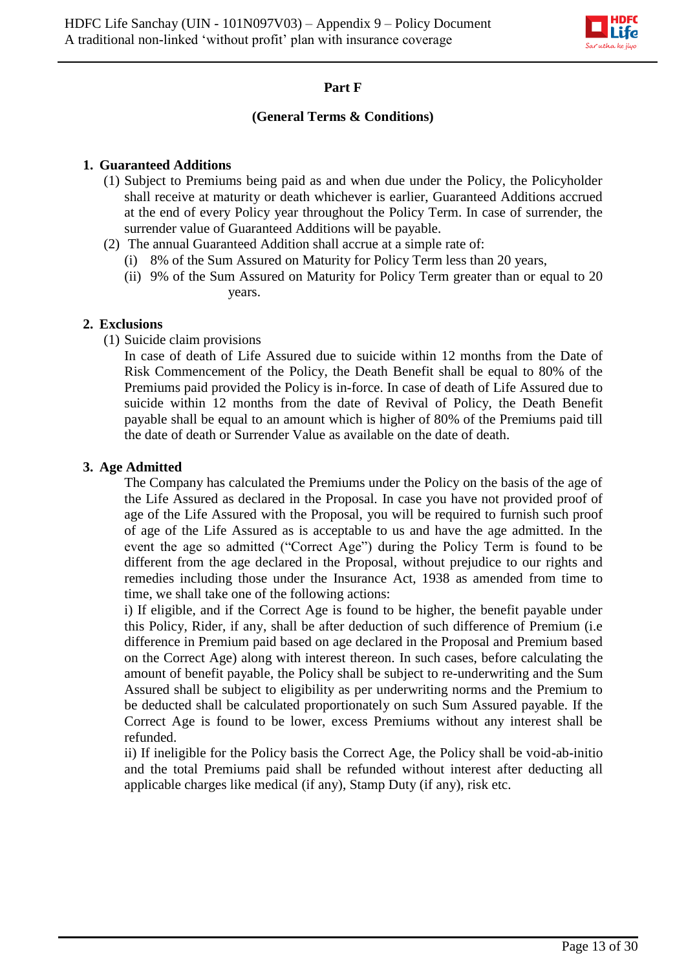

## **Part F**

### **(General Terms & Conditions)**

### **1. Guaranteed Additions**

- (1) Subject to Premiums being paid as and when due under the Policy, the Policyholder shall receive at maturity or death whichever is earlier, Guaranteed Additions accrued at the end of every Policy year throughout the Policy Term. In case of surrender, the surrender value of Guaranteed Additions will be payable.
- (2) The annual Guaranteed Addition shall accrue at a simple rate of:
	- (i) 8% of the Sum Assured on Maturity for Policy Term less than 20 years,
	- (ii) 9% of the Sum Assured on Maturity for Policy Term greater than or equal to 20 years.

## **2. Exclusions**

(1) Suicide claim provisions

In case of death of Life Assured due to suicide within 12 months from the Date of Risk Commencement of the Policy, the Death Benefit shall be equal to 80% of the Premiums paid provided the Policy is in-force. In case of death of Life Assured due to suicide within 12 months from the date of Revival of Policy, the Death Benefit payable shall be equal to an amount which is higher of 80% of the Premiums paid till the date of death or Surrender Value as available on the date of death.

#### **3. Age Admitted**

The Company has calculated the Premiums under the Policy on the basis of the age of the Life Assured as declared in the Proposal. In case you have not provided proof of age of the Life Assured with the Proposal, you will be required to furnish such proof of age of the Life Assured as is acceptable to us and have the age admitted. In the event the age so admitted ("Correct Age") during the Policy Term is found to be different from the age declared in the Proposal, without prejudice to our rights and remedies including those under the Insurance Act, 1938 as amended from time to time, we shall take one of the following actions:

i) If eligible, and if the Correct Age is found to be higher, the benefit payable under this Policy, Rider, if any, shall be after deduction of such difference of Premium (i.e difference in Premium paid based on age declared in the Proposal and Premium based on the Correct Age) along with interest thereon. In such cases, before calculating the amount of benefit payable, the Policy shall be subject to re-underwriting and the Sum Assured shall be subject to eligibility as per underwriting norms and the Premium to be deducted shall be calculated proportionately on such Sum Assured payable. If the Correct Age is found to be lower, excess Premiums without any interest shall be refunded.

ii) If ineligible for the Policy basis the Correct Age, the Policy shall be void-ab-initio and the total Premiums paid shall be refunded without interest after deducting all applicable charges like medical (if any), Stamp Duty (if any), risk etc.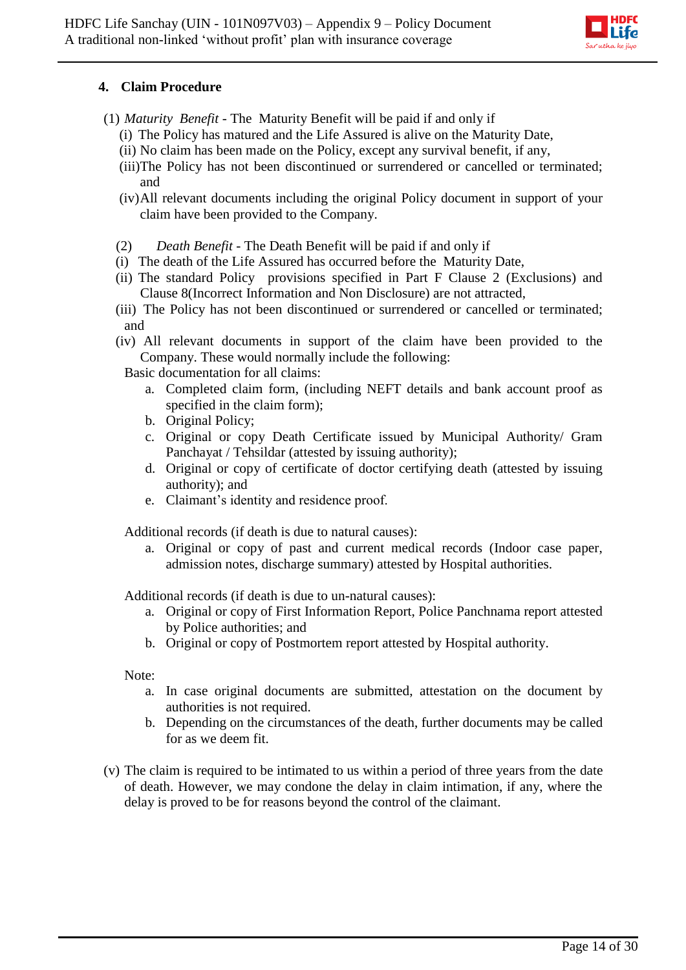

## **4. Claim Procedure**

- (1) *Maturity Benefit* The Maturity Benefit will be paid if and only if
	- (i) The Policy has matured and the Life Assured is alive on the Maturity Date,
	- (ii) No claim has been made on the Policy, except any survival benefit, if any,
	- (iii)The Policy has not been discontinued or surrendered or cancelled or terminated; and
	- (iv)All relevant documents including the original Policy document in support of your claim have been provided to the Company.
	- (2) *Death Benefit -* The Death Benefit will be paid if and only if
	- (i) The death of the Life Assured has occurred before the Maturity Date,
	- (ii) The standard Policy provisions specified in Part F Clause 2 (Exclusions) and Clause 8(Incorrect Information and Non Disclosure) are not attracted,
	- (iii) The Policy has not been discontinued or surrendered or cancelled or terminated; and
	- (iv) All relevant documents in support of the claim have been provided to the Company. These would normally include the following:

Basic documentation for all claims:

- a. Completed claim form, (including NEFT details and bank account proof as specified in the claim form);
- b. Original Policy;
- c. Original or copy Death Certificate issued by Municipal Authority/ Gram Panchayat / Tehsildar (attested by issuing authority);
- d. Original or copy of certificate of doctor certifying death (attested by issuing authority); and
- e. Claimant's identity and residence proof.

Additional records (if death is due to natural causes):

a. Original or copy of past and current medical records (Indoor case paper, admission notes, discharge summary) attested by Hospital authorities.

Additional records (if death is due to un-natural causes):

- a. Original or copy of First Information Report, Police Panchnama report attested by Police authorities; and
- b. Original or copy of Postmortem report attested by Hospital authority.

Note:

- a. In case original documents are submitted, attestation on the document by authorities is not required.
- b. Depending on the circumstances of the death, further documents may be called for as we deem fit.
- (v) The claim is required to be intimated to us within a period of three years from the date of death. However, we may condone the delay in claim intimation, if any, where the delay is proved to be for reasons beyond the control of the claimant.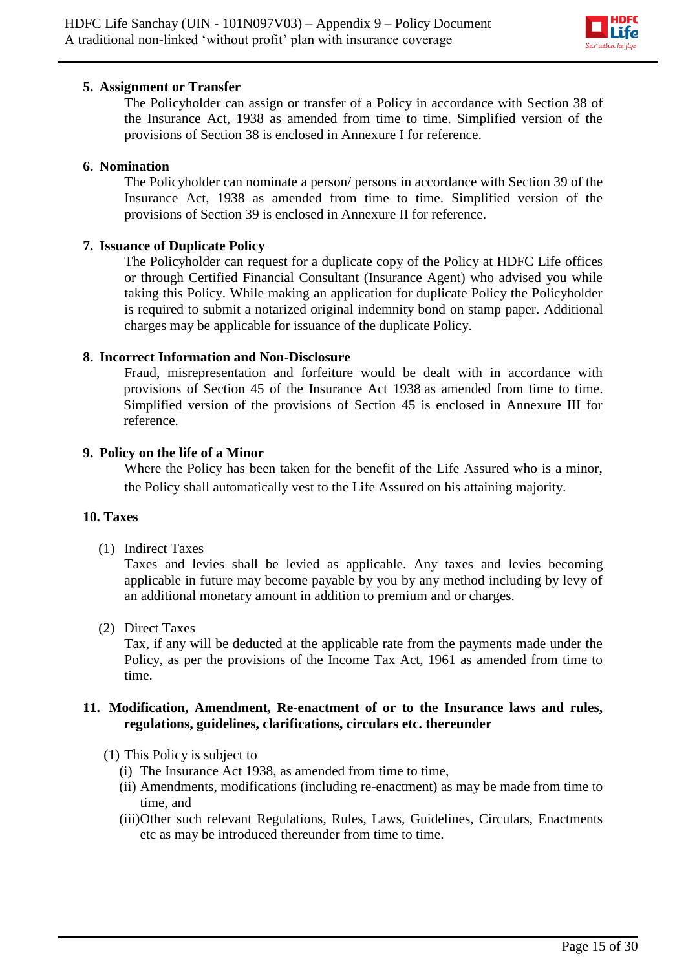

#### **5. Assignment or Transfer**

The Policyholder can assign or transfer of a Policy in accordance with Section 38 of the Insurance Act, 1938 as amended from time to time. Simplified version of the provisions of Section 38 is enclosed in Annexure I for reference.

#### **6. Nomination**

The Policyholder can nominate a person/ persons in accordance with Section 39 of the Insurance Act, 1938 as amended from time to time. Simplified version of the provisions of Section 39 is enclosed in Annexure II for reference.

#### **7. Issuance of Duplicate Policy**

The Policyholder can request for a duplicate copy of the Policy at HDFC Life offices or through Certified Financial Consultant (Insurance Agent) who advised you while taking this Policy. While making an application for duplicate Policy the Policyholder is required to submit a notarized original indemnity bond on stamp paper. Additional charges may be applicable for issuance of the duplicate Policy.

#### **8. Incorrect Information and Non-Disclosure**

Fraud, misrepresentation and forfeiture would be dealt with in accordance with provisions of Section 45 of the Insurance Act 1938 as amended from time to time. Simplified version of the provisions of Section 45 is enclosed in Annexure III for reference.

#### **9. Policy on the life of a Minor**

Where the Policy has been taken for the benefit of the Life Assured who is a minor, the Policy shall automatically vest to the Life Assured on his attaining majority.

#### **10. Taxes**

(1) Indirect Taxes

Taxes and levies shall be levied as applicable. Any taxes and levies becoming applicable in future may become payable by you by any method including by levy of an additional monetary amount in addition to premium and or charges.

(2) Direct Taxes

Tax, if any will be deducted at the applicable rate from the payments made under the Policy, as per the provisions of the Income Tax Act, 1961 as amended from time to time.

#### **11. Modification, Amendment, Re-enactment of or to the Insurance laws and rules, regulations, guidelines, clarifications, circulars etc. thereunder**

- (1) This Policy is subject to
	- (i) The Insurance Act 1938, as amended from time to time,
	- (ii) Amendments, modifications (including re-enactment) as may be made from time to time, and
	- (iii)Other such relevant Regulations, Rules, Laws, Guidelines, Circulars, Enactments etc as may be introduced thereunder from time to time.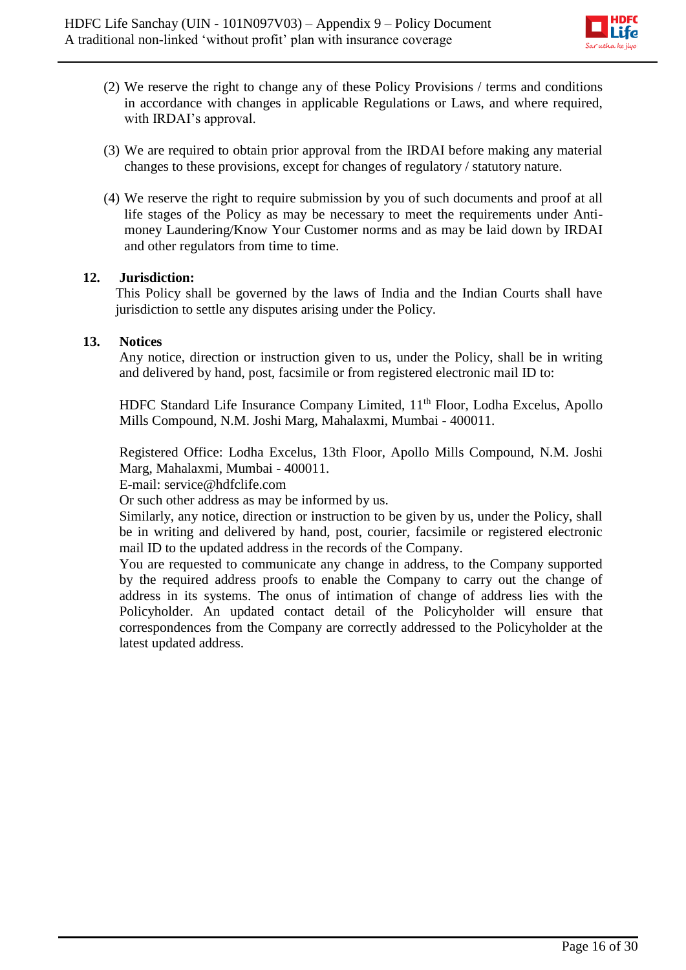

- (2) We reserve the right to change any of these Policy Provisions / terms and conditions in accordance with changes in applicable Regulations or Laws, and where required, with IRDAI's approval.
- (3) We are required to obtain prior approval from the IRDAI before making any material changes to these provisions, except for changes of regulatory / statutory nature.
- (4) We reserve the right to require submission by you of such documents and proof at all life stages of the Policy as may be necessary to meet the requirements under Antimoney Laundering/Know Your Customer norms and as may be laid down by IRDAI and other regulators from time to time.

#### **12. Jurisdiction:**

This Policy shall be governed by the laws of India and the Indian Courts shall have jurisdiction to settle any disputes arising under the Policy.

#### **13. Notices**

Any notice, direction or instruction given to us, under the Policy, shall be in writing and delivered by hand, post, facsimile or from registered electronic mail ID to:

HDFC Standard Life Insurance Company Limited, 11<sup>th</sup> Floor, Lodha Excelus, Apollo Mills Compound, N.M. Joshi Marg, Mahalaxmi, Mumbai - 400011.

Registered Office: Lodha Excelus, 13th Floor, Apollo Mills Compound, N.M. Joshi Marg, Mahalaxmi, Mumbai - 400011.

E-mail: service@hdfclife.com

Or such other address as may be informed by us.

Similarly, any notice, direction or instruction to be given by us, under the Policy, shall be in writing and delivered by hand, post, courier, facsimile or registered electronic mail ID to the updated address in the records of the Company.

You are requested to communicate any change in address, to the Company supported by the required address proofs to enable the Company to carry out the change of address in its systems. The onus of intimation of change of address lies with the Policyholder. An updated contact detail of the Policyholder will ensure that correspondences from the Company are correctly addressed to the Policyholder at the latest updated address.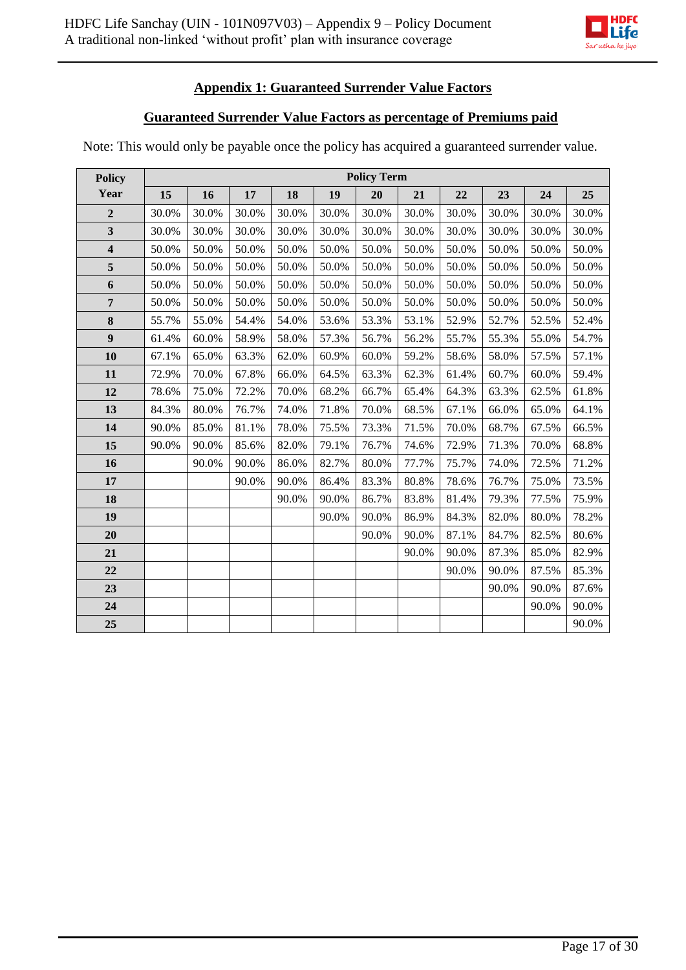

# **Appendix 1: Guaranteed Surrender Value Factors**

## **Guaranteed Surrender Value Factors as percentage of Premiums paid**

Note: This would only be payable once the policy has acquired a guaranteed surrender value.

| <b>Policy</b>           | <b>Policy Term</b> |       |       |       |       |       |       |       |       |       |       |
|-------------------------|--------------------|-------|-------|-------|-------|-------|-------|-------|-------|-------|-------|
| Year                    | 15                 | 16    | 17    | 18    | 19    | 20    | 21    | 22    | 23    | 24    | 25    |
| $\overline{2}$          | 30.0%              | 30.0% | 30.0% | 30.0% | 30.0% | 30.0% | 30.0% | 30.0% | 30.0% | 30.0% | 30.0% |
| $\overline{\mathbf{3}}$ | 30.0%              | 30.0% | 30.0% | 30.0% | 30.0% | 30.0% | 30.0% | 30.0% | 30.0% | 30.0% | 30.0% |
| $\overline{\mathbf{4}}$ | 50.0%              | 50.0% | 50.0% | 50.0% | 50.0% | 50.0% | 50.0% | 50.0% | 50.0% | 50.0% | 50.0% |
| 5                       | 50.0%              | 50.0% | 50.0% | 50.0% | 50.0% | 50.0% | 50.0% | 50.0% | 50.0% | 50.0% | 50.0% |
| 6                       | 50.0%              | 50.0% | 50.0% | 50.0% | 50.0% | 50.0% | 50.0% | 50.0% | 50.0% | 50.0% | 50.0% |
| $\overline{7}$          | 50.0%              | 50.0% | 50.0% | 50.0% | 50.0% | 50.0% | 50.0% | 50.0% | 50.0% | 50.0% | 50.0% |
| 8                       | 55.7%              | 55.0% | 54.4% | 54.0% | 53.6% | 53.3% | 53.1% | 52.9% | 52.7% | 52.5% | 52.4% |
| $\boldsymbol{9}$        | 61.4%              | 60.0% | 58.9% | 58.0% | 57.3% | 56.7% | 56.2% | 55.7% | 55.3% | 55.0% | 54.7% |
| 10                      | 67.1%              | 65.0% | 63.3% | 62.0% | 60.9% | 60.0% | 59.2% | 58.6% | 58.0% | 57.5% | 57.1% |
| 11                      | 72.9%              | 70.0% | 67.8% | 66.0% | 64.5% | 63.3% | 62.3% | 61.4% | 60.7% | 60.0% | 59.4% |
| 12                      | 78.6%              | 75.0% | 72.2% | 70.0% | 68.2% | 66.7% | 65.4% | 64.3% | 63.3% | 62.5% | 61.8% |
| 13                      | 84.3%              | 80.0% | 76.7% | 74.0% | 71.8% | 70.0% | 68.5% | 67.1% | 66.0% | 65.0% | 64.1% |
| 14                      | 90.0%              | 85.0% | 81.1% | 78.0% | 75.5% | 73.3% | 71.5% | 70.0% | 68.7% | 67.5% | 66.5% |
| 15                      | 90.0%              | 90.0% | 85.6% | 82.0% | 79.1% | 76.7% | 74.6% | 72.9% | 71.3% | 70.0% | 68.8% |
| 16                      |                    | 90.0% | 90.0% | 86.0% | 82.7% | 80.0% | 77.7% | 75.7% | 74.0% | 72.5% | 71.2% |
| 17                      |                    |       | 90.0% | 90.0% | 86.4% | 83.3% | 80.8% | 78.6% | 76.7% | 75.0% | 73.5% |
| 18                      |                    |       |       | 90.0% | 90.0% | 86.7% | 83.8% | 81.4% | 79.3% | 77.5% | 75.9% |
| 19                      |                    |       |       |       | 90.0% | 90.0% | 86.9% | 84.3% | 82.0% | 80.0% | 78.2% |
| 20                      |                    |       |       |       |       | 90.0% | 90.0% | 87.1% | 84.7% | 82.5% | 80.6% |
| 21                      |                    |       |       |       |       |       | 90.0% | 90.0% | 87.3% | 85.0% | 82.9% |
| 22                      |                    |       |       |       |       |       |       | 90.0% | 90.0% | 87.5% | 85.3% |
| 23                      |                    |       |       |       |       |       |       |       | 90.0% | 90.0% | 87.6% |
| 24                      |                    |       |       |       |       |       |       |       |       | 90.0% | 90.0% |
| 25                      |                    |       |       |       |       |       |       |       |       |       | 90.0% |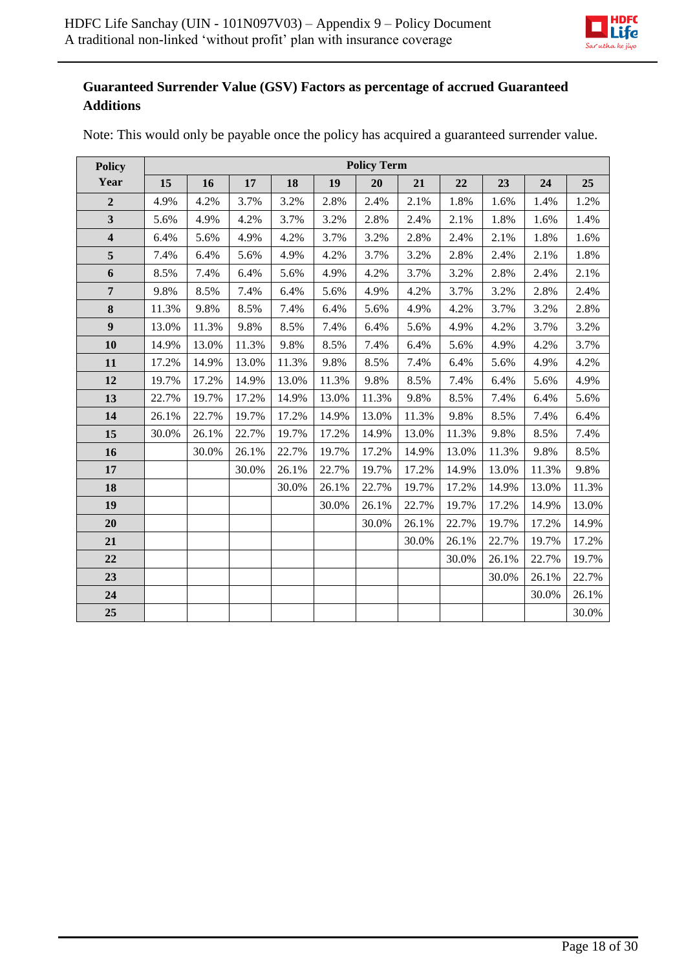

# **Guaranteed Surrender Value (GSV) Factors as percentage of accrued Guaranteed Additions**

| <b>Policy</b>           | <b>Policy Term</b> |       |       |       |       |       |       |       |       |       |       |
|-------------------------|--------------------|-------|-------|-------|-------|-------|-------|-------|-------|-------|-------|
| Year                    | 15                 | 16    | 17    | 18    | 19    | 20    | 21    | 22    | 23    | 24    | 25    |
| $\overline{2}$          | 4.9%               | 4.2%  | 3.7%  | 3.2%  | 2.8%  | 2.4%  | 2.1%  | 1.8%  | 1.6%  | 1.4%  | 1.2%  |
| $\overline{\mathbf{3}}$ | 5.6%               | 4.9%  | 4.2%  | 3.7%  | 3.2%  | 2.8%  | 2.4%  | 2.1%  | 1.8%  | 1.6%  | 1.4%  |
| $\overline{\mathbf{4}}$ | 6.4%               | 5.6%  | 4.9%  | 4.2%  | 3.7%  | 3.2%  | 2.8%  | 2.4%  | 2.1%  | 1.8%  | 1.6%  |
| $\sqrt{5}$              | 7.4%               | 6.4%  | 5.6%  | 4.9%  | 4.2%  | 3.7%  | 3.2%  | 2.8%  | 2.4%  | 2.1%  | 1.8%  |
| 6                       | 8.5%               | 7.4%  | 6.4%  | 5.6%  | 4.9%  | 4.2%  | 3.7%  | 3.2%  | 2.8%  | 2.4%  | 2.1%  |
| $\overline{7}$          | 9.8%               | 8.5%  | 7.4%  | 6.4%  | 5.6%  | 4.9%  | 4.2%  | 3.7%  | 3.2%  | 2.8%  | 2.4%  |
| 8                       | 11.3%              | 9.8%  | 8.5%  | 7.4%  | 6.4%  | 5.6%  | 4.9%  | 4.2%  | 3.7%  | 3.2%  | 2.8%  |
| $\boldsymbol{9}$        | 13.0%              | 11.3% | 9.8%  | 8.5%  | 7.4%  | 6.4%  | 5.6%  | 4.9%  | 4.2%  | 3.7%  | 3.2%  |
| 10                      | 14.9%              | 13.0% | 11.3% | 9.8%  | 8.5%  | 7.4%  | 6.4%  | 5.6%  | 4.9%  | 4.2%  | 3.7%  |
| 11                      | 17.2%              | 14.9% | 13.0% | 11.3% | 9.8%  | 8.5%  | 7.4%  | 6.4%  | 5.6%  | 4.9%  | 4.2%  |
| 12                      | 19.7%              | 17.2% | 14.9% | 13.0% | 11.3% | 9.8%  | 8.5%  | 7.4%  | 6.4%  | 5.6%  | 4.9%  |
| 13                      | 22.7%              | 19.7% | 17.2% | 14.9% | 13.0% | 11.3% | 9.8%  | 8.5%  | 7.4%  | 6.4%  | 5.6%  |
| 14                      | 26.1%              | 22.7% | 19.7% | 17.2% | 14.9% | 13.0% | 11.3% | 9.8%  | 8.5%  | 7.4%  | 6.4%  |
| 15                      | 30.0%              | 26.1% | 22.7% | 19.7% | 17.2% | 14.9% | 13.0% | 11.3% | 9.8%  | 8.5%  | 7.4%  |
| 16                      |                    | 30.0% | 26.1% | 22.7% | 19.7% | 17.2% | 14.9% | 13.0% | 11.3% | 9.8%  | 8.5%  |
| 17                      |                    |       | 30.0% | 26.1% | 22.7% | 19.7% | 17.2% | 14.9% | 13.0% | 11.3% | 9.8%  |
| 18                      |                    |       |       | 30.0% | 26.1% | 22.7% | 19.7% | 17.2% | 14.9% | 13.0% | 11.3% |
| 19                      |                    |       |       |       | 30.0% | 26.1% | 22.7% | 19.7% | 17.2% | 14.9% | 13.0% |
| 20                      |                    |       |       |       |       | 30.0% | 26.1% | 22.7% | 19.7% | 17.2% | 14.9% |
| 21                      |                    |       |       |       |       |       | 30.0% | 26.1% | 22.7% | 19.7% | 17.2% |
| 22                      |                    |       |       |       |       |       |       | 30.0% | 26.1% | 22.7% | 19.7% |
| 23                      |                    |       |       |       |       |       |       |       | 30.0% | 26.1% | 22.7% |
| 24                      |                    |       |       |       |       |       |       |       |       | 30.0% | 26.1% |
| 25                      |                    |       |       |       |       |       |       |       |       |       | 30.0% |

Note: This would only be payable once the policy has acquired a guaranteed surrender value.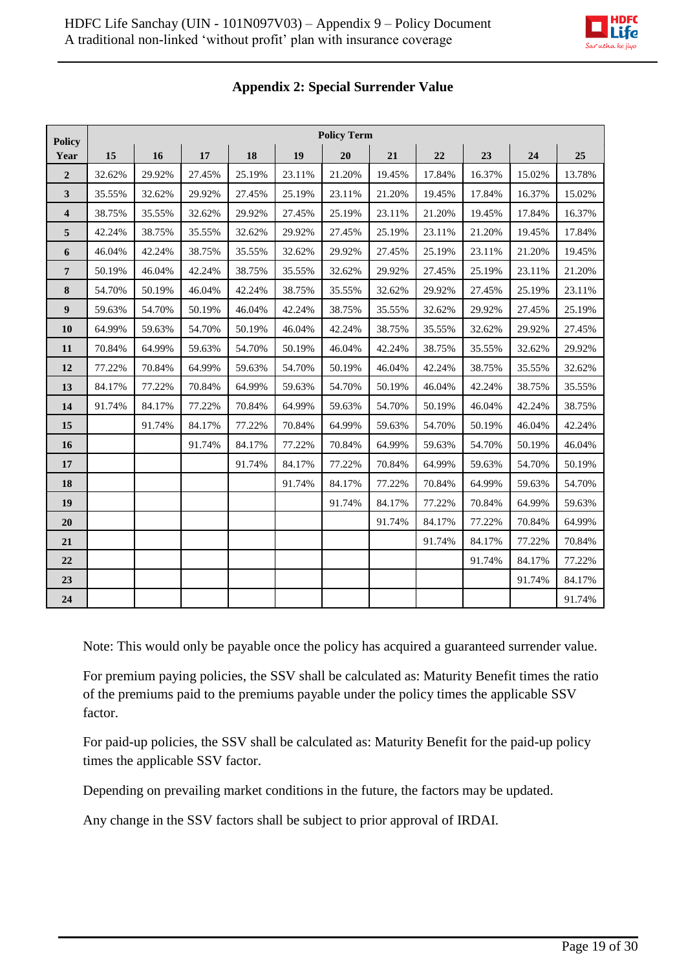| <b>Policy</b>           | <b>Policy Term</b> |        |        |        |        |        |        |        |        |        |        |
|-------------------------|--------------------|--------|--------|--------|--------|--------|--------|--------|--------|--------|--------|
| Year                    | 15                 | 16     | 17     | 18     | 19     | 20     | 21     | 22     | 23     | 24     | 25     |
| $\overline{2}$          | 32.62%             | 29.92% | 27.45% | 25.19% | 23.11% | 21.20% | 19.45% | 17.84% | 16.37% | 15.02% | 13.78% |
| $\mathbf{3}$            | 35.55%             | 32.62% | 29.92% | 27.45% | 25.19% | 23.11% | 21.20% | 19.45% | 17.84% | 16.37% | 15.02% |
| $\overline{\mathbf{4}}$ | 38.75%             | 35.55% | 32.62% | 29.92% | 27.45% | 25.19% | 23.11% | 21.20% | 19.45% | 17.84% | 16.37% |
| 5                       | 42.24%             | 38.75% | 35.55% | 32.62% | 29.92% | 27.45% | 25.19% | 23.11% | 21.20% | 19.45% | 17.84% |
| 6                       | 46.04%             | 42.24% | 38.75% | 35.55% | 32.62% | 29.92% | 27.45% | 25.19% | 23.11% | 21.20% | 19.45% |
| $\overline{7}$          | 50.19%             | 46.04% | 42.24% | 38.75% | 35.55% | 32.62% | 29.92% | 27.45% | 25.19% | 23.11% | 21.20% |
| 8                       | 54.70%             | 50.19% | 46.04% | 42.24% | 38.75% | 35.55% | 32.62% | 29.92% | 27.45% | 25.19% | 23.11% |
| $\boldsymbol{9}$        | 59.63%             | 54.70% | 50.19% | 46.04% | 42.24% | 38.75% | 35.55% | 32.62% | 29.92% | 27.45% | 25.19% |
| 10                      | 64.99%             | 59.63% | 54.70% | 50.19% | 46.04% | 42.24% | 38.75% | 35.55% | 32.62% | 29.92% | 27.45% |
| 11                      | 70.84%             | 64.99% | 59.63% | 54.70% | 50.19% | 46.04% | 42.24% | 38.75% | 35.55% | 32.62% | 29.92% |
| 12                      | 77.22%             | 70.84% | 64.99% | 59.63% | 54.70% | 50.19% | 46.04% | 42.24% | 38.75% | 35.55% | 32.62% |
| 13                      | 84.17%             | 77.22% | 70.84% | 64.99% | 59.63% | 54.70% | 50.19% | 46.04% | 42.24% | 38.75% | 35.55% |
| 14                      | 91.74%             | 84.17% | 77.22% | 70.84% | 64.99% | 59.63% | 54.70% | 50.19% | 46.04% | 42.24% | 38.75% |
| 15                      |                    | 91.74% | 84.17% | 77.22% | 70.84% | 64.99% | 59.63% | 54.70% | 50.19% | 46.04% | 42.24% |
| 16                      |                    |        | 91.74% | 84.17% | 77.22% | 70.84% | 64.99% | 59.63% | 54.70% | 50.19% | 46.04% |
| 17                      |                    |        |        | 91.74% | 84.17% | 77.22% | 70.84% | 64.99% | 59.63% | 54.70% | 50.19% |
| 18                      |                    |        |        |        | 91.74% | 84.17% | 77.22% | 70.84% | 64.99% | 59.63% | 54.70% |
| 19                      |                    |        |        |        |        | 91.74% | 84.17% | 77.22% | 70.84% | 64.99% | 59.63% |
| 20                      |                    |        |        |        |        |        | 91.74% | 84.17% | 77.22% | 70.84% | 64.99% |
| 21                      |                    |        |        |        |        |        |        | 91.74% | 84.17% | 77.22% | 70.84% |
| 22                      |                    |        |        |        |        |        |        |        | 91.74% | 84.17% | 77.22% |
| 23                      |                    |        |        |        |        |        |        |        |        | 91.74% | 84.17% |
| 24                      |                    |        |        |        |        |        |        |        |        |        | 91.74% |

# **Appendix 2: Special Surrender Value**

Note: This would only be payable once the policy has acquired a guaranteed surrender value.

For premium paying policies, the SSV shall be calculated as: Maturity Benefit times the ratio of the premiums paid to the premiums payable under the policy times the applicable SSV factor.

For paid-up policies, the SSV shall be calculated as: Maturity Benefit for the paid-up policy times the applicable SSV factor.

Depending on prevailing market conditions in the future, the factors may be updated.

Any change in the SSV factors shall be subject to prior approval of IRDAI.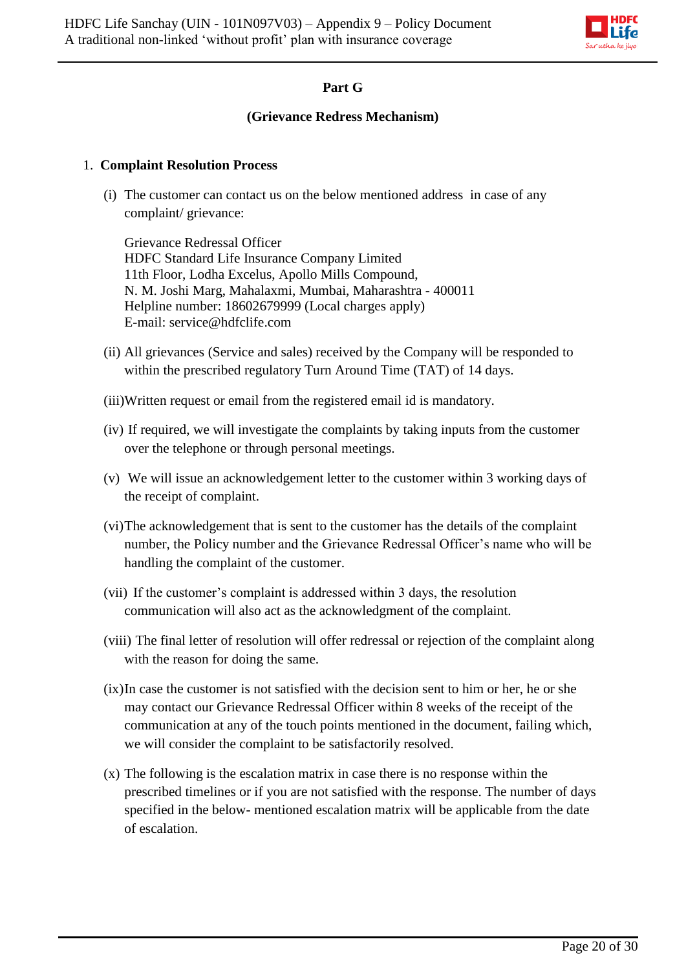

# **Part G**

### **(Grievance Redress Mechanism)**

#### 1. **Complaint Resolution Process**

(i) The customer can contact us on the below mentioned address in case of any complaint/ grievance:

Grievance Redressal Officer HDFC Standard Life Insurance Company Limited 11th Floor, Lodha Excelus, Apollo Mills Compound, N. M. Joshi Marg, Mahalaxmi, Mumbai, Maharashtra - 400011 Helpline number: 18602679999 (Local charges apply) E-mail: service@hdfclife.com

- (ii) All grievances (Service and sales) received by the Company will be responded to within the prescribed regulatory Turn Around Time (TAT) of 14 days.
- (iii)Written request or email from the registered email id is mandatory.
- (iv) If required, we will investigate the complaints by taking inputs from the customer over the telephone or through personal meetings.
- (v) We will issue an acknowledgement letter to the customer within 3 working days of the receipt of complaint.
- (vi)The acknowledgement that is sent to the customer has the details of the complaint number, the Policy number and the Grievance Redressal Officer's name who will be handling the complaint of the customer.
- (vii) If the customer's complaint is addressed within 3 days, the resolution communication will also act as the acknowledgment of the complaint.
- (viii) The final letter of resolution will offer redressal or rejection of the complaint along with the reason for doing the same.
- (ix)In case the customer is not satisfied with the decision sent to him or her, he or she may contact our Grievance Redressal Officer within 8 weeks of the receipt of the communication at any of the touch points mentioned in the document, failing which, we will consider the complaint to be satisfactorily resolved.
- (x) The following is the escalation matrix in case there is no response within the prescribed timelines or if you are not satisfied with the response. The number of days specified in the below- mentioned escalation matrix will be applicable from the date of escalation.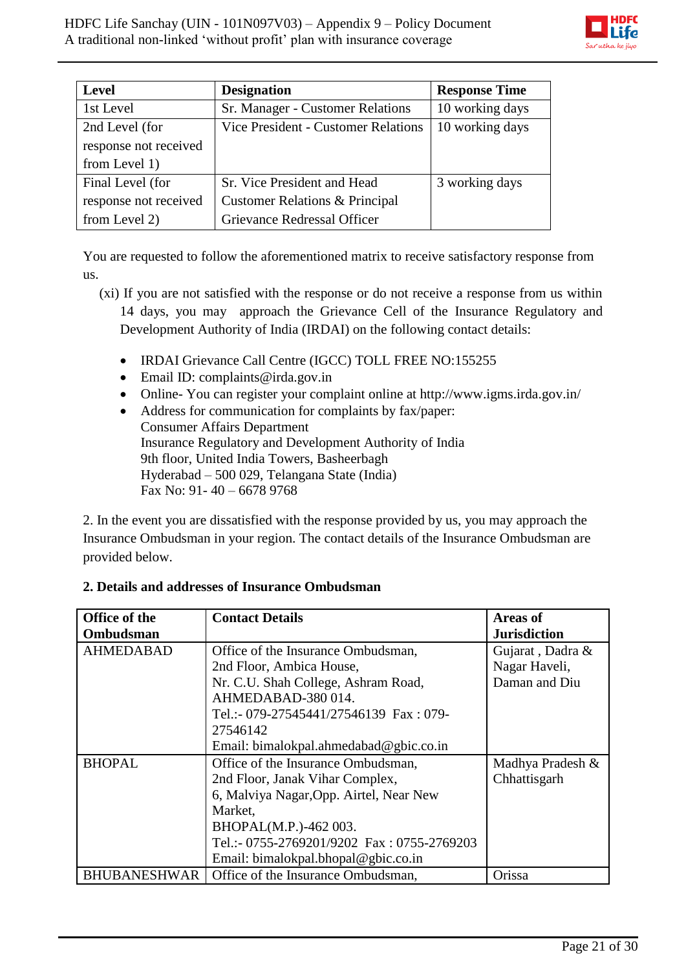

| <b>Level</b>          | <b>Designation</b>                         | <b>Response Time</b> |
|-----------------------|--------------------------------------------|----------------------|
| 1st Level             | Sr. Manager - Customer Relations           | 10 working days      |
| 2nd Level (for        | <b>Vice President - Customer Relations</b> | 10 working days      |
| response not received |                                            |                      |
| from Level 1)         |                                            |                      |
| Final Level (for      | Sr. Vice President and Head                | 3 working days       |
| response not received | Customer Relations & Principal             |                      |
| from Level 2)         | Grievance Redressal Officer                |                      |

You are requested to follow the aforementioned matrix to receive satisfactory response from us.

- (xi) If you are not satisfied with the response or do not receive a response from us within 14 days, you may approach the Grievance Cell of the Insurance Regulatory and Development Authority of India (IRDAI) on the following contact details:
	- IRDAI Grievance Call Centre (IGCC) TOLL FREE NO:155255
	- Email ID: complaints@irda.gov.in
	- Online- You can register your complaint online at http://www.igms.irda.gov.in/
	- Address for communication for complaints by fax/paper: Consumer Affairs Department Insurance Regulatory and Development Authority of India 9th floor, United India Towers, Basheerbagh Hyderabad – 500 029, Telangana State (India) Fax No: 91- 40 – 6678 9768

2. In the event you are dissatisfied with the response provided by us, you may approach the Insurance Ombudsman in your region. The contact details of the Insurance Ombudsman are provided below.

| <b>Office of the</b> | <b>Contact Details</b>                     | <b>Areas of</b>     |
|----------------------|--------------------------------------------|---------------------|
| Ombudsman            |                                            | <b>Jurisdiction</b> |
| <b>AHMEDABAD</b>     | Office of the Insurance Ombudsman,         | Gujarat, Dadra &    |
|                      | 2nd Floor, Ambica House,                   | Nagar Haveli,       |
|                      | Nr. C.U. Shah College, Ashram Road,        | Daman and Diu       |
|                      | AHMEDABAD-380014.                          |                     |
|                      | Tel.:- 079-27545441/27546139 Fax: 079-     |                     |
|                      | 27546142                                   |                     |
|                      | Email: bimalokpal.ahmedabad@gbic.co.in     |                     |
| <b>BHOPAL</b>        | Office of the Insurance Ombudsman,         | Madhya Pradesh &    |
|                      | 2nd Floor, Janak Vihar Complex,            | Chhattisgarh        |
|                      | 6, Malviya Nagar, Opp. Airtel, Near New    |                     |
|                      | Market,                                    |                     |
|                      | BHOPAL(M.P.)-462 003.                      |                     |
|                      | Tel.:- 0755-2769201/9202 Fax: 0755-2769203 |                     |
|                      | Email: bimalokpal.bhopal@gbic.co.in        |                     |
| <b>BHUBANESHWAR</b>  | Office of the Insurance Ombudsman,         | Orissa              |

## **2. Details and addresses of Insurance Ombudsman**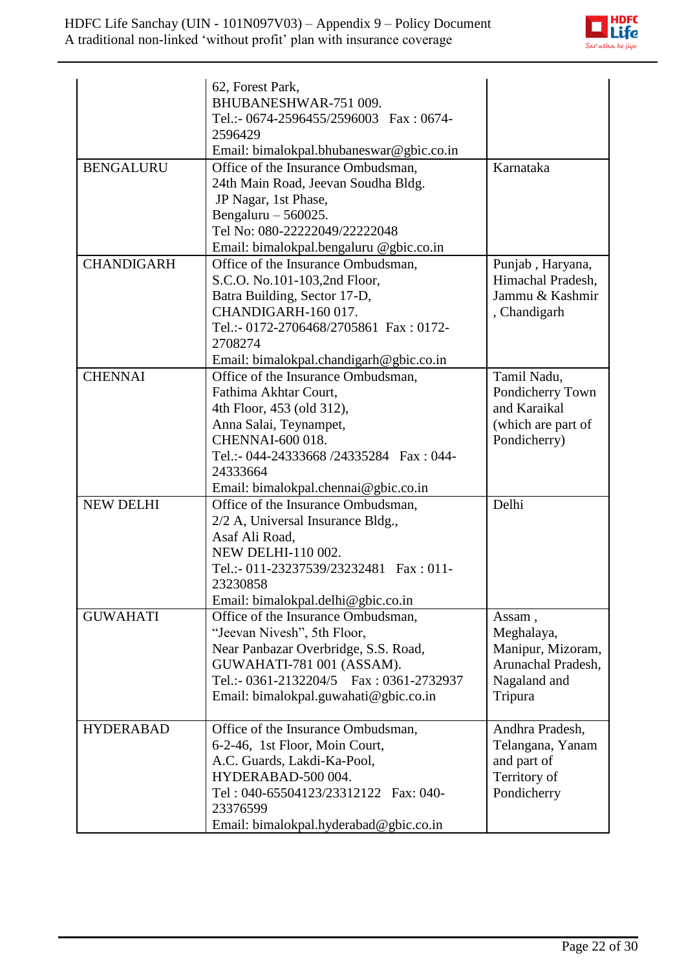

|                   | 62, Forest Park,<br>BHUBANESHWAR-751 009.<br>Tel.:- 0674-2596455/2596003 Fax: 0674-<br>2596429<br>Email: bimalokpal.bhubaneswar@gbic.co.in                                                                                                    |                                                                                            |
|-------------------|-----------------------------------------------------------------------------------------------------------------------------------------------------------------------------------------------------------------------------------------------|--------------------------------------------------------------------------------------------|
| <b>BENGALURU</b>  | Office of the Insurance Ombudsman,<br>24th Main Road, Jeevan Soudha Bldg.<br>JP Nagar, 1st Phase,<br>Bengaluru $-560025$ .<br>Tel No: 080-22222049/22222048<br>Email: bimalokpal.bengaluru @gbic.co.in                                        | Karnataka                                                                                  |
| <b>CHANDIGARH</b> | Office of the Insurance Ombudsman,<br>S.C.O. No.101-103,2nd Floor,<br>Batra Building, Sector 17-D,<br>CHANDIGARH-160 017.<br>Tel.:- 0172-2706468/2705861 Fax: 0172-<br>2708274<br>Email: bimalokpal.chandigarh@gbic.co.in                     | Punjab, Haryana,<br>Himachal Pradesh,<br>Jammu & Kashmir<br>, Chandigarh                   |
| <b>CHENNAI</b>    | Office of the Insurance Ombudsman,<br>Fathima Akhtar Court,<br>4th Floor, 453 (old 312),<br>Anna Salai, Teynampet,<br><b>CHENNAI-600 018.</b><br>Tel.:- 044-24333668 /24335284  Fax: 044-<br>24333664<br>Email: bimalokpal.chennai@gbic.co.in | Tamil Nadu,<br>Pondicherry Town<br>and Karaikal<br>(which are part of<br>Pondicherry)      |
| <b>NEW DELHI</b>  | Office of the Insurance Ombudsman,<br>2/2 A, Universal Insurance Bldg.,<br>Asaf Ali Road,<br>NEW DELHI-110 002.<br>Tel.:- 011-23237539/23232481  Fax: 011-<br>23230858<br>Email: bimalokpal.delhi@gbic.co.in                                  | Delhi                                                                                      |
| <b>GUWAHATI</b>   | Office of the Insurance Ombudsman,<br>"Jeevan Nivesh", 5th Floor,<br>Near Panbazar Overbridge, S.S. Road,<br>GUWAHATI-781 001 (ASSAM).<br>Tel.:- 0361-2132204/5  Fax: 0361-2732937<br>Email: bimalokpal.guwahati@gbic.co.in                   | Assam,<br>Meghalaya,<br>Manipur, Mizoram,<br>Arunachal Pradesh,<br>Nagaland and<br>Tripura |
| <b>HYDERABAD</b>  | Office of the Insurance Ombudsman,<br>6-2-46, 1st Floor, Moin Court,<br>A.C. Guards, Lakdi-Ka-Pool,<br>HYDERABAD-500 004.<br>Tel: 040-65504123/23312122 Fax: 040-<br>23376599<br>Email: bimalokpal.hyderabad@gbic.co.in                       | Andhra Pradesh,<br>Telangana, Yanam<br>and part of<br>Territory of<br>Pondicherry          |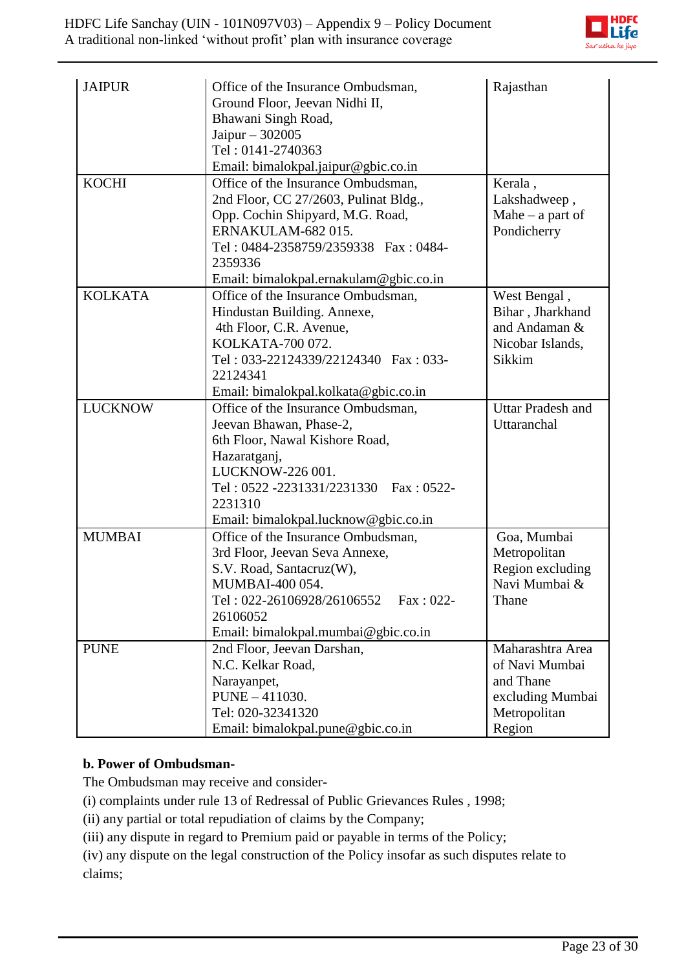

| <b>JAIPUR</b><br><b>KOCHI</b> | Office of the Insurance Ombudsman,<br>Ground Floor, Jeevan Nidhi II,<br>Bhawani Singh Road,<br>Jaipur $-302005$<br>Tel: 0141-2740363<br>Email: bimalokpal.jaipur@gbic.co.in<br>Office of the Insurance Ombudsman,                                                       | Rajasthan<br>Kerala,                                                                          |
|-------------------------------|-------------------------------------------------------------------------------------------------------------------------------------------------------------------------------------------------------------------------------------------------------------------------|-----------------------------------------------------------------------------------------------|
|                               | 2nd Floor, CC 27/2603, Pulinat Bldg.,<br>Opp. Cochin Shipyard, M.G. Road,<br>ERNAKULAM-682015.<br>Tel: 0484-2358759/2359338 Fax: 0484-<br>2359336                                                                                                                       | Lakshadweep,<br>Mahe $-$ a part of<br>Pondicherry                                             |
| <b>KOLKATA</b>                | Email: bimalokpal.ernakulam@gbic.co.in<br>Office of the Insurance Ombudsman,<br>Hindustan Building. Annexe,<br>4th Floor, C.R. Avenue,<br>KOLKATA-700 072.<br>Tel: 033-22124339/22124340 Fax: 033-<br>22124341                                                          | West Bengal,<br>Bihar, Jharkhand<br>and Andaman &<br>Nicobar Islands,<br>Sikkim               |
| <b>LUCKNOW</b>                | Email: bimalokpal.kolkata@gbic.co.in<br>Office of the Insurance Ombudsman,<br>Jeevan Bhawan, Phase-2,<br>6th Floor, Nawal Kishore Road,<br>Hazaratganj,<br>LUCKNOW-226 001.<br>Tel: 0522 -2231331/2231330 Fax: 0522-<br>2231310<br>Email: bimalokpal.lucknow@gbic.co.in | <b>Uttar Pradesh and</b><br>Uttaranchal                                                       |
| <b>MUMBAI</b>                 | Office of the Insurance Ombudsman,<br>3rd Floor, Jeevan Seva Annexe,<br>S.V. Road, Santacruz(W),<br>MUMBAI-400 054.<br>Fax: 022-<br>Tel: 022-26106928/26106552<br>26106052<br>Email: bimalokpal.mumbai@gbic.co.in                                                       | Goa, Mumbai<br>Metropolitan<br>Region excluding<br>Navi Mumbai &<br>Thane                     |
| <b>PUNE</b>                   | 2nd Floor, Jeevan Darshan,<br>N.C. Kelkar Road,<br>Narayanpet,<br>PUNE - 411030.<br>Tel: 020-32341320<br>Email: bimalokpal.pune@gbic.co.in                                                                                                                              | Maharashtra Area<br>of Navi Mumbai<br>and Thane<br>excluding Mumbai<br>Metropolitan<br>Region |

# **b. Power of Ombudsman-**

The Ombudsman may receive and consider-

[\(i\)](http://indiankanoon.org/doc/160521836/) complaints under rule 13 of Redressal of Public Grievances Rules , 1998;

[\(ii\)](http://indiankanoon.org/doc/156757242/) any partial or total repudiation of claims by the Company;

[\(iii\)](http://indiankanoon.org/doc/163591613/) any dispute in regard to Premium paid or payable in terms of the Policy;

[\(iv\)](http://indiankanoon.org/doc/31367799/) any dispute on the legal construction of the Policy insofar as such disputes relate to claims;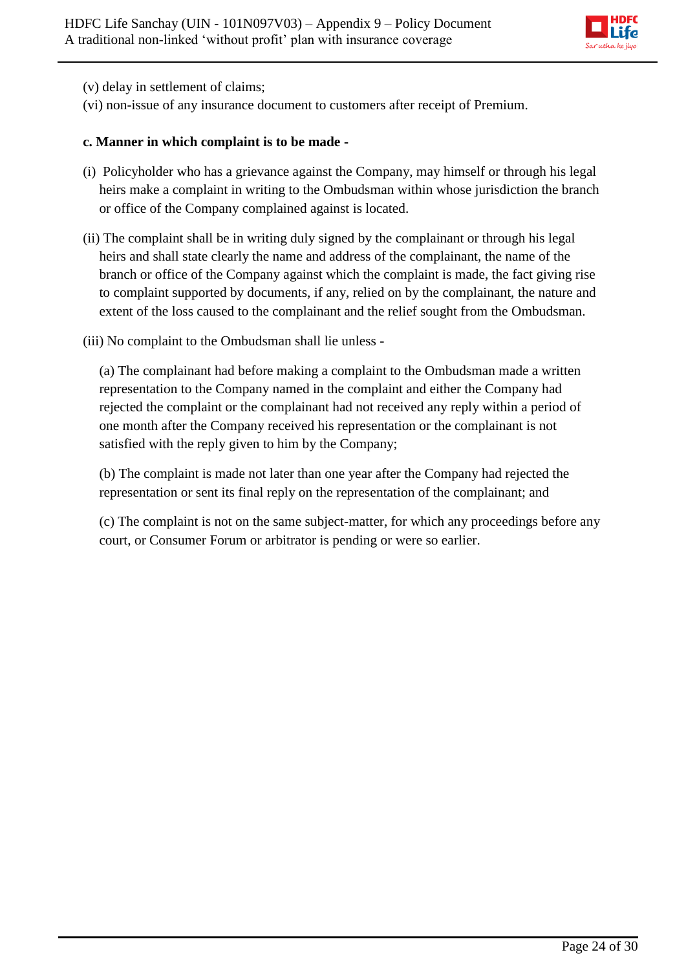

[\(v\)](http://indiankanoon.org/doc/26463888/) delay in settlement of claims;

[\(vi\)](http://indiankanoon.org/doc/47238858/) non-issue of any insurance document to customers after receipt of Premium.

#### **c. Manner in which complaint is to be made -**

- [\(i\)](http://indiankanoon.org/doc/160481793/) Policyholder who has a grievance against the Company, may himself or through his legal heirs make a complaint in writing to the Ombudsman within whose jurisdiction the branch or office of the Company complained against is located.
- [\(ii\)](http://indiankanoon.org/doc/116915928/) The complaint shall be in writing duly signed by the complainant or through his legal heirs and shall state clearly the name and address of the complainant, the name of the branch or office of the Company against which the complaint is made, the fact giving rise to complaint supported by documents, if any, relied on by the complainant, the nature and extent of the loss caused to the complainant and the relief sought from the Ombudsman.
- [\(iii\)](http://indiankanoon.org/doc/99464357/) No complaint to the Ombudsman shall lie unless -

[\(a\)](http://indiankanoon.org/doc/87794950/) The complainant had before making a complaint to the Ombudsman made a written representation to the Company named in the complaint and either the Company had rejected the complaint or the complainant had not received any reply within a period of one month after the Company received his representation or the complainant is not satisfied with the reply given to him by the Company;

[\(b\)](http://indiankanoon.org/doc/84880221/) The complaint is made not later than one year after the Company had rejected the representation or sent its final reply on the representation of the complainant; and

[\(c\)](http://indiankanoon.org/doc/116794480/) The complaint is not on the same subject-matter, for which any proceedings before any court, or Consumer Forum or arbitrator is pending or were so earlier.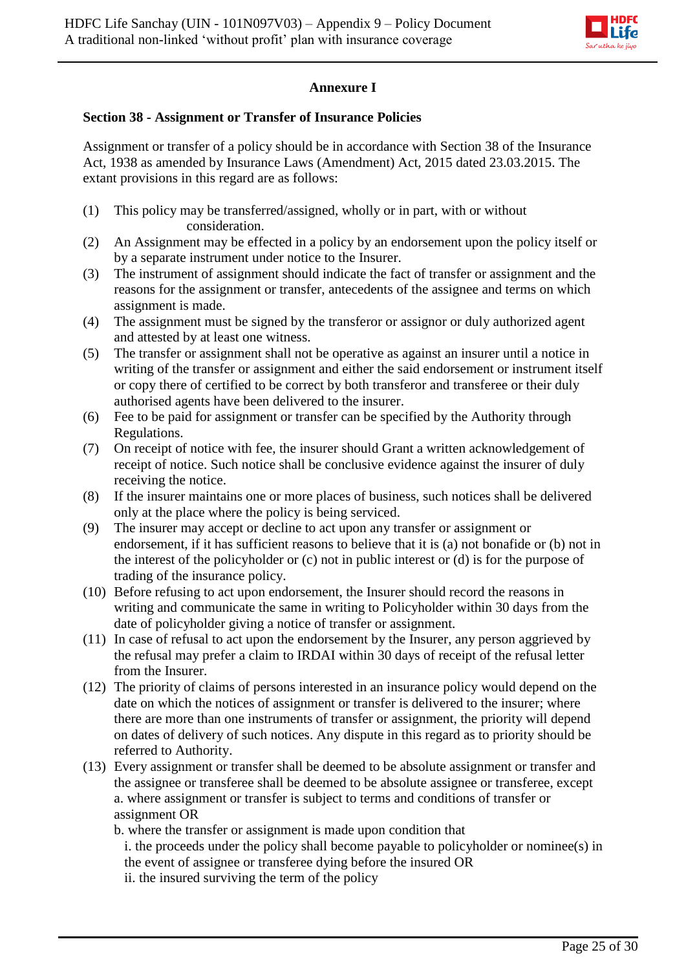

## **Annexure I**

### **Section 38 - Assignment or Transfer of Insurance Policies**

Assignment or transfer of a policy should be in accordance with Section 38 of the Insurance Act, 1938 as amended by Insurance Laws (Amendment) Act, 2015 dated 23.03.2015. The extant provisions in this regard are as follows:

- (1) This policy may be transferred/assigned, wholly or in part, with or without consideration.
- (2) An Assignment may be effected in a policy by an endorsement upon the policy itself or by a separate instrument under notice to the Insurer.
- (3) The instrument of assignment should indicate the fact of transfer or assignment and the reasons for the assignment or transfer, antecedents of the assignee and terms on which assignment is made.
- (4) The assignment must be signed by the transferor or assignor or duly authorized agent and attested by at least one witness.
- (5) The transfer or assignment shall not be operative as against an insurer until a notice in writing of the transfer or assignment and either the said endorsement or instrument itself or copy there of certified to be correct by both transferor and transferee or their duly authorised agents have been delivered to the insurer.
- (6) Fee to be paid for assignment or transfer can be specified by the Authority through Regulations.
- (7) On receipt of notice with fee, the insurer should Grant a written acknowledgement of receipt of notice. Such notice shall be conclusive evidence against the insurer of duly receiving the notice.
- (8) If the insurer maintains one or more places of business, such notices shall be delivered only at the place where the policy is being serviced.
- (9) The insurer may accept or decline to act upon any transfer or assignment or endorsement, if it has sufficient reasons to believe that it is (a) not bonafide or (b) not in the interest of the policyholder or (c) not in public interest or (d) is for the purpose of trading of the insurance policy.
- (10) Before refusing to act upon endorsement, the Insurer should record the reasons in writing and communicate the same in writing to Policyholder within 30 days from the date of policyholder giving a notice of transfer or assignment.
- (11) In case of refusal to act upon the endorsement by the Insurer, any person aggrieved by the refusal may prefer a claim to IRDAI within 30 days of receipt of the refusal letter from the Insurer.
- (12) The priority of claims of persons interested in an insurance policy would depend on the date on which the notices of assignment or transfer is delivered to the insurer; where there are more than one instruments of transfer or assignment, the priority will depend on dates of delivery of such notices. Any dispute in this regard as to priority should be referred to Authority.
- (13) Every assignment or transfer shall be deemed to be absolute assignment or transfer and the assignee or transferee shall be deemed to be absolute assignee or transferee, except a. where assignment or transfer is subject to terms and conditions of transfer or assignment OR

b. where the transfer or assignment is made upon condition that i. the proceeds under the policy shall become payable to policyholder or nominee(s) in the event of assignee or transferee dying before the insured OR ii. the insured surviving the term of the policy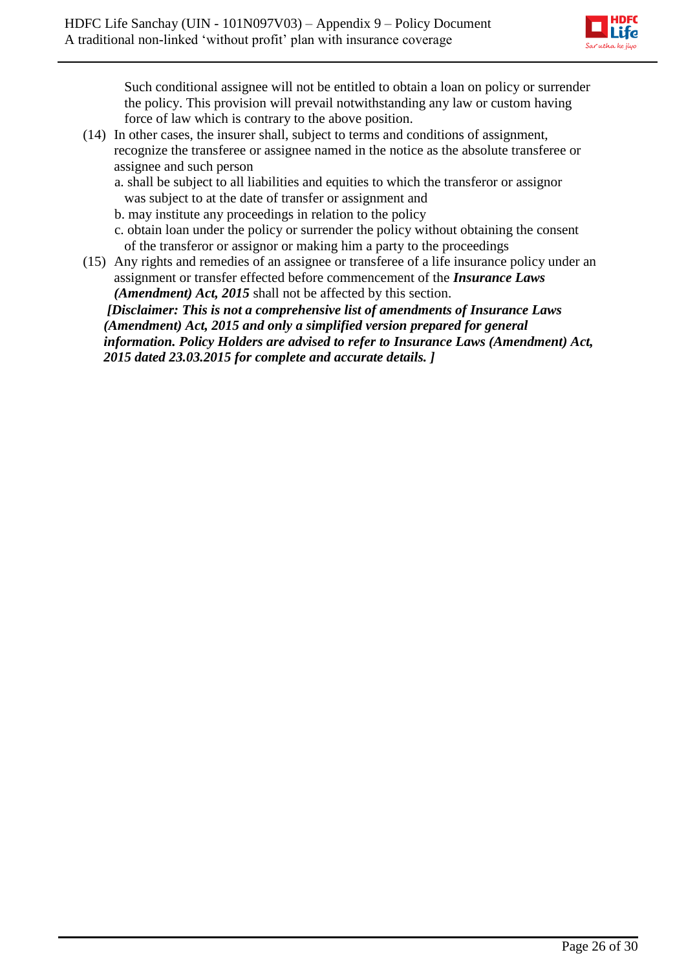

Such conditional assignee will not be entitled to obtain a loan on policy or surrender the policy. This provision will prevail notwithstanding any law or custom having force of law which is contrary to the above position.

- (14) In other cases, the insurer shall, subject to terms and conditions of assignment, recognize the transferee or assignee named in the notice as the absolute transferee or assignee and such person
	- a. shall be subject to all liabilities and equities to which the transferor or assignor was subject to at the date of transfer or assignment and
	- b. may institute any proceedings in relation to the policy
	- c. obtain loan under the policy or surrender the policy without obtaining the consent of the transferor or assignor or making him a party to the proceedings
- (15) Any rights and remedies of an assignee or transferee of a life insurance policy under an assignment or transfer effected before commencement of the *Insurance Laws (Amendment) Act, 2015* shall not be affected by this section.

*[Disclaimer: This is not a comprehensive list of amendments of Insurance Laws (Amendment) Act, 2015 and only a simplified version prepared for general information. Policy Holders are advised to refer to Insurance Laws (Amendment) Act, 2015 dated 23.03.2015 for complete and accurate details. ]*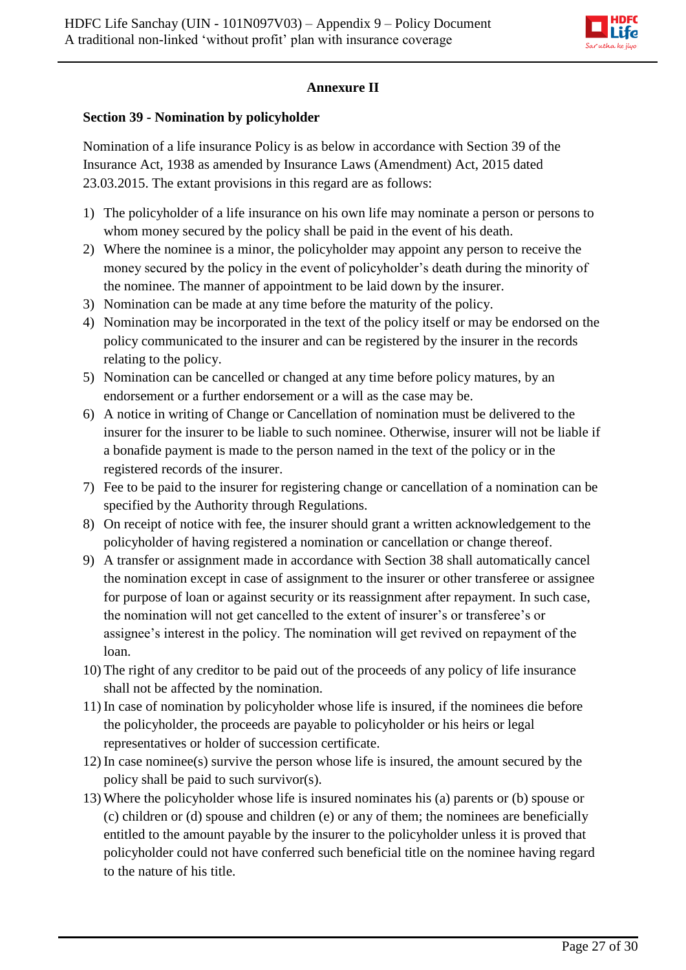

# **Annexure II**

## **Section 39 - Nomination by policyholder**

Nomination of a life insurance Policy is as below in accordance with Section 39 of the Insurance Act, 1938 as amended by Insurance Laws (Amendment) Act, 2015 dated 23.03.2015. The extant provisions in this regard are as follows:

- 1) The policyholder of a life insurance on his own life may nominate a person or persons to whom money secured by the policy shall be paid in the event of his death.
- 2) Where the nominee is a minor, the policyholder may appoint any person to receive the money secured by the policy in the event of policyholder's death during the minority of the nominee. The manner of appointment to be laid down by the insurer.
- 3) Nomination can be made at any time before the maturity of the policy.
- 4) Nomination may be incorporated in the text of the policy itself or may be endorsed on the policy communicated to the insurer and can be registered by the insurer in the records relating to the policy.
- 5) Nomination can be cancelled or changed at any time before policy matures, by an endorsement or a further endorsement or a will as the case may be.
- 6) A notice in writing of Change or Cancellation of nomination must be delivered to the insurer for the insurer to be liable to such nominee. Otherwise, insurer will not be liable if a bonafide payment is made to the person named in the text of the policy or in the registered records of the insurer.
- 7) Fee to be paid to the insurer for registering change or cancellation of a nomination can be specified by the Authority through Regulations.
- 8) On receipt of notice with fee, the insurer should grant a written acknowledgement to the policyholder of having registered a nomination or cancellation or change thereof.
- 9) A transfer or assignment made in accordance with Section 38 shall automatically cancel the nomination except in case of assignment to the insurer or other transferee or assignee for purpose of loan or against security or its reassignment after repayment. In such case, the nomination will not get cancelled to the extent of insurer's or transferee's or assignee's interest in the policy. The nomination will get revived on repayment of the loan.
- 10) The right of any creditor to be paid out of the proceeds of any policy of life insurance shall not be affected by the nomination.
- 11) In case of nomination by policyholder whose life is insured, if the nominees die before the policyholder, the proceeds are payable to policyholder or his heirs or legal representatives or holder of succession certificate.
- 12) In case nominee(s) survive the person whose life is insured, the amount secured by the policy shall be paid to such survivor(s).
- 13) Where the policyholder whose life is insured nominates his (a) parents or (b) spouse or (c) children or (d) spouse and children (e) or any of them; the nominees are beneficially entitled to the amount payable by the insurer to the policyholder unless it is proved that policyholder could not have conferred such beneficial title on the nominee having regard to the nature of his title.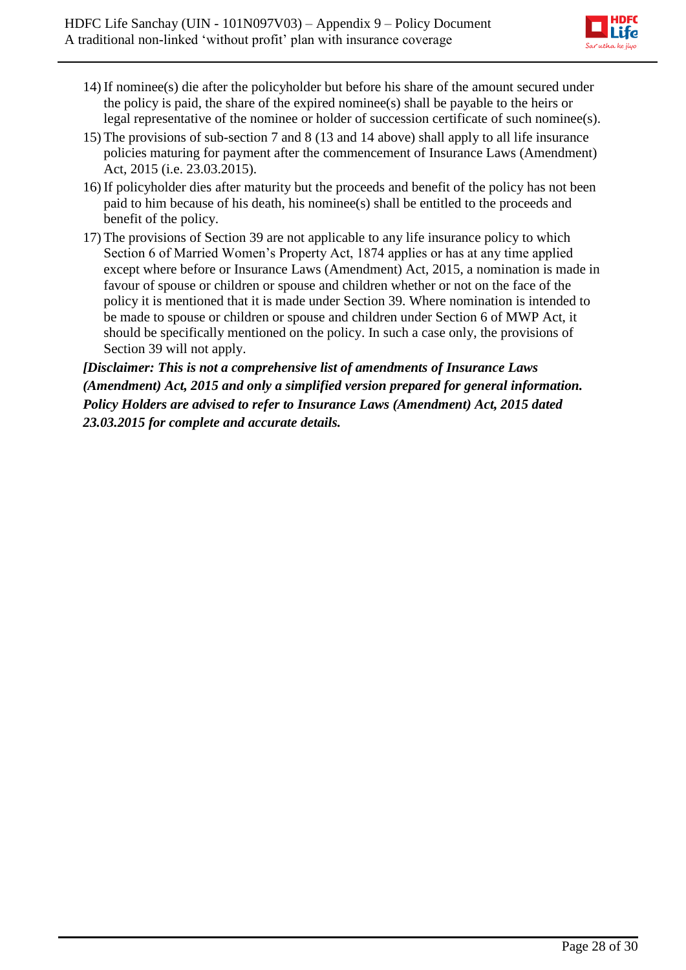

- 14) If nominee(s) die after the policyholder but before his share of the amount secured under the policy is paid, the share of the expired nominee(s) shall be payable to the heirs or legal representative of the nominee or holder of succession certificate of such nominee(s).
- 15) The provisions of sub-section 7 and 8 (13 and 14 above) shall apply to all life insurance policies maturing for payment after the commencement of Insurance Laws (Amendment) Act, 2015 (i.e. 23.03.2015).
- 16) If policyholder dies after maturity but the proceeds and benefit of the policy has not been paid to him because of his death, his nominee(s) shall be entitled to the proceeds and benefit of the policy.
- 17) The provisions of Section 39 are not applicable to any life insurance policy to which Section 6 of Married Women's Property Act, 1874 applies or has at any time applied except where before or Insurance Laws (Amendment) Act, 2015, a nomination is made in favour of spouse or children or spouse and children whether or not on the face of the policy it is mentioned that it is made under Section 39. Where nomination is intended to be made to spouse or children or spouse and children under Section 6 of MWP Act, it should be specifically mentioned on the policy. In such a case only, the provisions of Section 39 will not apply.

*[Disclaimer: This is not a comprehensive list of amendments of Insurance Laws (Amendment) Act, 2015 and only a simplified version prepared for general information. Policy Holders are advised to refer to Insurance Laws (Amendment) Act, 2015 dated 23.03.2015 for complete and accurate details.*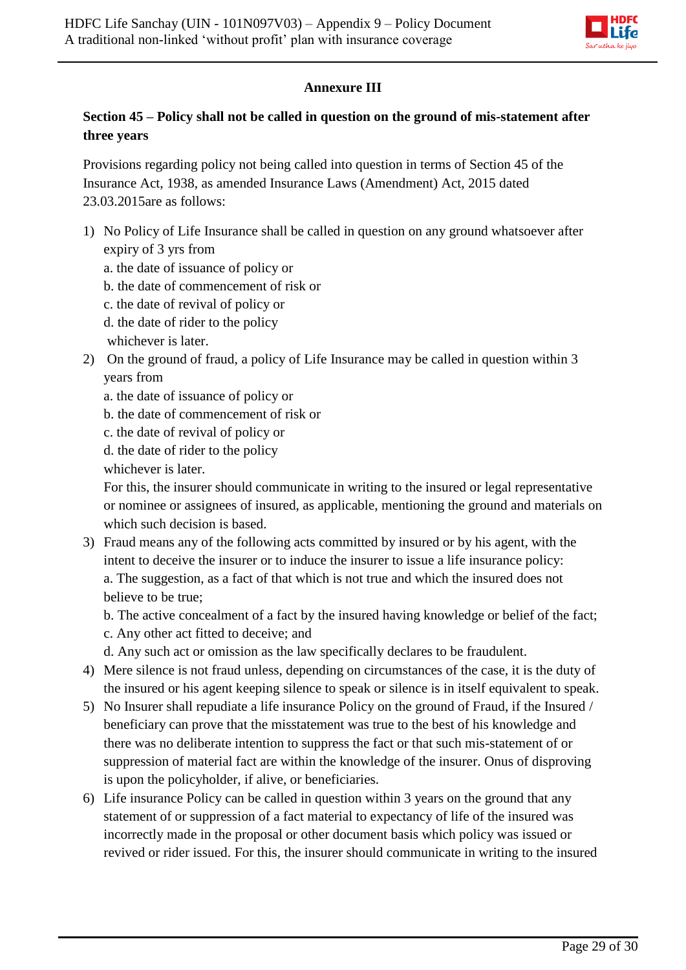

# **Annexure III**

# **Section 45 – Policy shall not be called in question on the ground of mis-statement after three years**

Provisions regarding policy not being called into question in terms of Section 45 of the Insurance Act, 1938, as amended Insurance Laws (Amendment) Act, 2015 dated 23.03.2015are as follows:

- 1) No Policy of Life Insurance shall be called in question on any ground whatsoever after expiry of 3 yrs from
	- a. the date of issuance of policy or
	- b. the date of commencement of risk or
	- c. the date of revival of policy or
	- d. the date of rider to the policy
	- whichever is later.
- 2) On the ground of fraud, a policy of Life Insurance may be called in question within 3 years from
	- a. the date of issuance of policy or
	- b. the date of commencement of risk or
	- c. the date of revival of policy or
	- d. the date of rider to the policy

whichever is later.

For this, the insurer should communicate in writing to the insured or legal representative or nominee or assignees of insured, as applicable, mentioning the ground and materials on which such decision is based.

3) Fraud means any of the following acts committed by insured or by his agent, with the intent to deceive the insurer or to induce the insurer to issue a life insurance policy: a. The suggestion, as a fact of that which is not true and which the insured does not believe to be true;

b. The active concealment of a fact by the insured having knowledge or belief of the fact;

- c. Any other act fitted to deceive; and
- d. Any such act or omission as the law specifically declares to be fraudulent.
- 4) Mere silence is not fraud unless, depending on circumstances of the case, it is the duty of the insured or his agent keeping silence to speak or silence is in itself equivalent to speak.
- 5) No Insurer shall repudiate a life insurance Policy on the ground of Fraud, if the Insured / beneficiary can prove that the misstatement was true to the best of his knowledge and there was no deliberate intention to suppress the fact or that such mis-statement of or suppression of material fact are within the knowledge of the insurer. Onus of disproving is upon the policyholder, if alive, or beneficiaries.
- 6) Life insurance Policy can be called in question within 3 years on the ground that any statement of or suppression of a fact material to expectancy of life of the insured was incorrectly made in the proposal or other document basis which policy was issued or revived or rider issued. For this, the insurer should communicate in writing to the insured